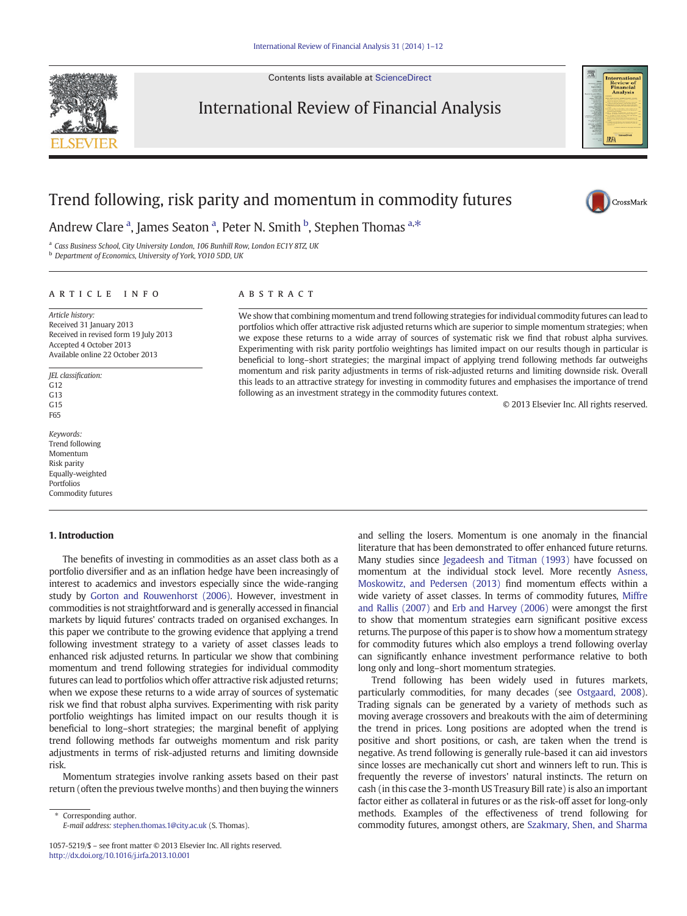Contents lists available at [ScienceDirect](http://www.sciencedirect.com/science/journal/10575219)



# International Review of Financial Analysis



CrossMark

# Trend following, risk parity and momentum in commodity futures

Andrew Clare <sup>a</sup>, James Seaton <sup>a</sup>, Peter N. Smith <sup>b</sup>, Stephen Thomas <sup>a,\*</sup>

<sup>a</sup> Cass Business School, City University London, 106 Bunhill Row, London EC1Y 8TZ, UK

<sup>b</sup> Department of Economics, University of York, YO10 5DD, UK

# article info abstract

Article history: Received 31 January 2013 Received in revised form 19 July 2013 Accepted 4 October 2013 Available online 22 October 2013

JEL classification: G12  $G13$ G15

F65

Keywords: Trend following Momentum Risk parity Equally-weighted Portfolios Commodity futures

# 1. Introduction

The benefits of investing in commodities as an asset class both as a portfolio diversifier and as an inflation hedge have been increasingly of interest to academics and investors especially since the wide-ranging study by [Gorton and Rouwenhorst \(2006\).](#page-10-0) However, investment in commodities is not straightforward and is generally accessed in financial markets by liquid futures' contracts traded on organised exchanges. In this paper we contribute to the growing evidence that applying a trend following investment strategy to a variety of asset classes leads to enhanced risk adjusted returns. In particular we show that combining momentum and trend following strategies for individual commodity futures can lead to portfolios which offer attractive risk adjusted returns; when we expose these returns to a wide array of sources of systematic risk we find that robust alpha survives. Experimenting with risk parity portfolio weightings has limited impact on our results though it is beneficial to long–short strategies; the marginal benefit of applying trend following methods far outweighs momentum and risk parity adjustments in terms of risk-adjusted returns and limiting downside risk.

Momentum strategies involve ranking assets based on their past return (often the previous twelve months) and then buying the winners

Corresponding author. E-mail address: [stephen.thomas.1@city.ac.uk](mailto:stephen.thomas.1@city.ac.uk) (S. Thomas).

We show that combining momentum and trend following strategies for individual commodity futures can lead to portfolios which offer attractive risk adjusted returns which are superior to simple momentum strategies; when we expose these returns to a wide array of sources of systematic risk we find that robust alpha survives. Experimenting with risk parity portfolio weightings has limited impact on our results though in particular is beneficial to long–short strategies; the marginal impact of applying trend following methods far outweighs momentum and risk parity adjustments in terms of risk-adjusted returns and limiting downside risk. Overall this leads to an attractive strategy for investing in commodity futures and emphasises the importance of trend following as an investment strategy in the commodity futures context.

© 2013 Elsevier Inc. All rights reserved.

and selling the losers. Momentum is one anomaly in the financial literature that has been demonstrated to offer enhanced future returns. Many studies since [Jegadeesh and Titman \(1993\)](#page-10-0) have focussed on momentum at the individual stock level. More recently [Asness,](#page-10-0) [Moskowitz, and Pedersen \(2013\)](#page-10-0) find momentum effects within a wide variety of asset classes. In terms of commodity futures, [Miffre](#page-10-0) [and Rallis \(2007\)](#page-10-0) and [Erb and Harvey \(2006\)](#page-10-0) were amongst the first to show that momentum strategies earn significant positive excess returns. The purpose of this paper is to show how a momentum strategy for commodity futures which also employs a trend following overlay can significantly enhance investment performance relative to both long only and long–short momentum strategies.

Trend following has been widely used in futures markets, particularly commodities, for many decades (see [Ostgaard, 2008](#page-10-0)). Trading signals can be generated by a variety of methods such as moving average crossovers and breakouts with the aim of determining the trend in prices. Long positions are adopted when the trend is positive and short positions, or cash, are taken when the trend is negative. As trend following is generally rule-based it can aid investors since losses are mechanically cut short and winners left to run. This is frequently the reverse of investors' natural instincts. The return on cash (in this case the 3-month US Treasury Bill rate) is also an important factor either as collateral in futures or as the risk-off asset for long-only methods. Examples of the effectiveness of trend following for commodity futures, amongst others, are [Szakmary, Shen, and Sharma](#page-11-0)

<sup>1057-5219/\$</sup> – see front matter © 2013 Elsevier Inc. All rights reserved. <http://dx.doi.org/10.1016/j.irfa.2013.10.001>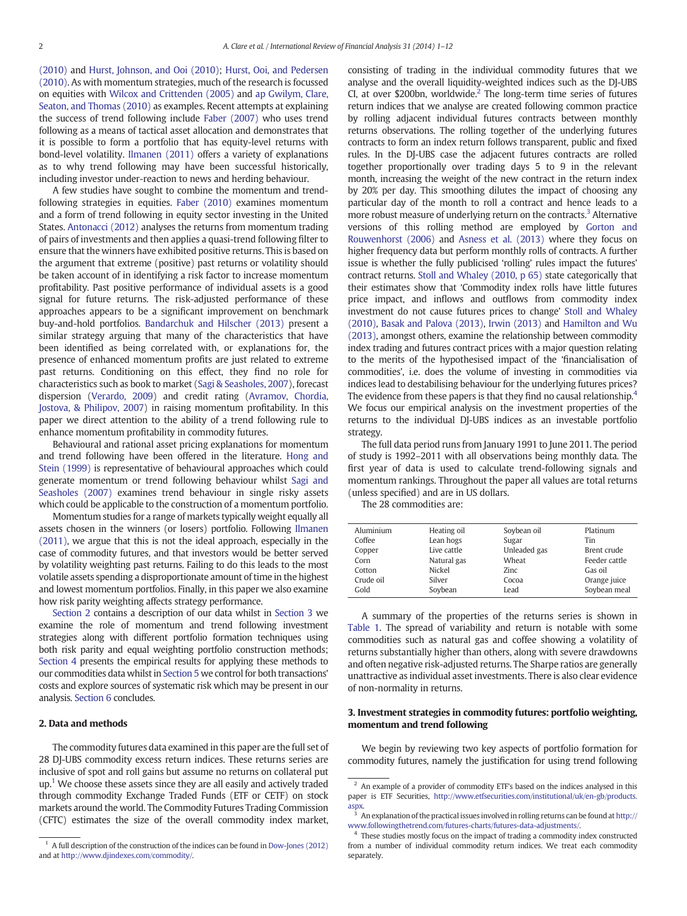[\(2010\)](#page-11-0) and [Hurst, Johnson, and Ooi \(2010\)](#page-10-0); [Hurst, Ooi, and Pedersen](#page-10-0) [\(2010\)](#page-10-0). As with momentum strategies, much of the research is focussed on equities with [Wilcox and Crittenden \(2005\)](#page-11-0) and [ap Gwilym, Clare,](#page-10-0) [Seaton, and Thomas \(2010\)](#page-10-0) as examples. Recent attempts at explaining the success of trend following include [Faber \(2007\)](#page-10-0) who uses trend following as a means of tactical asset allocation and demonstrates that it is possible to form a portfolio that has equity-level returns with bond-level volatility. [Ilmanen \(2011\)](#page-10-0) offers a variety of explanations as to why trend following may have been successful historically, including investor under-reaction to news and herding behaviour.

A few studies have sought to combine the momentum and trendfollowing strategies in equities. [Faber \(2010\)](#page-10-0) examines momentum and a form of trend following in equity sector investing in the United States. [Antonacci \(2012\)](#page-10-0) analyses the returns from momentum trading of pairs of investments and then applies a quasi-trend following filter to ensure that the winners have exhibited positive returns. This is based on the argument that extreme (positive) past returns or volatility should be taken account of in identifying a risk factor to increase momentum profitability. Past positive performance of individual assets is a good signal for future returns. The risk-adjusted performance of these approaches appears to be a significant improvement on benchmark buy-and-hold portfolios. [Bandarchuk and Hilscher \(2013\)](#page-10-0) present a similar strategy arguing that many of the characteristics that have been identified as being correlated with, or explanations for, the presence of enhanced momentum profits are just related to extreme past returns. Conditioning on this effect, they find no role for characteristics such as book to market ([Sagi & Seasholes, 2007](#page-11-0)), forecast dispersion [\(Verardo, 2009\)](#page-11-0) and credit rating [\(Avramov, Chordia,](#page-10-0) [Jostova, & Philipov, 2007\)](#page-10-0) in raising momentum profitability. In this paper we direct attention to the ability of a trend following rule to enhance momentum profitability in commodity futures.

Behavioural and rational asset pricing explanations for momentum and trend following have been offered in the literature. [Hong and](#page-10-0) [Stein \(1999\)](#page-10-0) is representative of behavioural approaches which could generate momentum or trend following behaviour whilst [Sagi and](#page-11-0) [Seasholes \(2007\)](#page-11-0) examines trend behaviour in single risky assets which could be applicable to the construction of a momentum portfolio.

Momentum studies for a range of markets typically weight equally all assets chosen in the winners (or losers) portfolio. Following [Ilmanen](#page-10-0) [\(2011\)](#page-10-0), we argue that this is not the ideal approach, especially in the case of commodity futures, and that investors would be better served by volatility weighting past returns. Failing to do this leads to the most volatile assets spending a disproportionate amount of time in the highest and lowest momentum portfolios. Finally, in this paper we also examine how risk parity weighting affects strategy performance.

Section 2 contains a description of our data whilst in Section 3 we examine the role of momentum and trend following investment strategies along with different portfolio formation techniques using both risk parity and equal weighting portfolio construction methods; [Section 4](#page-3-0) presents the empirical results for applying these methods to our commodities data whilst in [Section 5](#page-8-0) we control for both transactions' costs and explore sources of systematic risk which may be present in our analysis. [Section 6](#page-10-0) concludes.

# 2. Data and methods

The commodity futures data examined in this paper are the full set of 28 DJ-UBS commodity excess return indices. These returns series are inclusive of spot and roll gains but assume no returns on collateral put up.<sup>1</sup> We choose these assets since they are all easily and actively traded through commodity Exchange Traded Funds (ETF or CETF) on stock markets around the world. The Commodity Futures Trading Commission (CFTC) estimates the size of the overall commodity index market,

consisting of trading in the individual commodity futures that we analyse and the overall liquidity-weighted indices such as the DJ-UBS CI, at over \$200bn, worldwide.<sup>2</sup> The long-term time series of futures return indices that we analyse are created following common practice by rolling adjacent individual futures contracts between monthly returns observations. The rolling together of the underlying futures contracts to form an index return follows transparent, public and fixed rules. In the DJ-UBS case the adjacent futures contracts are rolled together proportionally over trading days 5 to 9 in the relevant month, increasing the weight of the new contract in the return index by 20% per day. This smoothing dilutes the impact of choosing any particular day of the month to roll a contract and hence leads to a more robust measure of underlying return on the contracts.<sup>3</sup> Alternative versions of this rolling method are employed by [Gorton and](#page-10-0) [Rouwenhorst \(2006\)](#page-10-0) and [Asness et al. \(2013\)](#page-10-0) where they focus on higher frequency data but perform monthly rolls of contracts. A further issue is whether the fully publicised 'rolling' rules impact the futures' contract returns. [Stoll and Whaley \(2010, p 65\)](#page-11-0) state categorically that their estimates show that 'Commodity index rolls have little futures price impact, and inflows and outflows from commodity index investment do not cause futures prices to change' [Stoll and Whaley](#page-11-0) [\(2010\)](#page-11-0), [Basak and Palova \(2013\)](#page-10-0), [Irwin \(2013\)](#page-10-0) and [Hamilton and Wu](#page-10-0) [\(2013\)](#page-10-0), amongst others, examine the relationship between commodity index trading and futures contract prices with a major question relating to the merits of the hypothesised impact of the 'financialisation of commodities', i.e. does the volume of investing in commodities via indices lead to destabilising behaviour for the underlying futures prices? The evidence from these papers is that they find no causal relationship.<sup>4</sup> We focus our empirical analysis on the investment properties of the returns to the individual DJ-UBS indices as an investable portfolio strategy.

The full data period runs from January 1991 to June 2011. The period of study is 1992–2011 with all observations being monthly data. The first year of data is used to calculate trend-following signals and momentum rankings. Throughout the paper all values are total returns (unless specified) and are in US dollars.

The 28 commodities are:

| Aluminium | Heating oil | Soybean oil  | Platinum      |
|-----------|-------------|--------------|---------------|
| Coffee    | Lean hogs   | Sugar        | Tin           |
| Copper    | Live cattle | Unleaded gas | Brent crude   |
| Corn      | Natural gas | Wheat        | Feeder cattle |
| Cotton    | Nickel      | Zinc.        | Gas oil       |
| Crude oil | Silver      | Cocoa        | Orange juice  |
| Gold      | Soybean     | Lead         | Soybean meal  |

A summary of the properties of the returns series is shown in [Table 1](#page-2-0). The spread of variability and return is notable with some commodities such as natural gas and coffee showing a volatility of returns substantially higher than others, along with severe drawdowns and often negative risk-adjusted returns. The Sharpe ratios are generally unattractive as individual asset investments. There is also clear evidence of non-normality in returns.

# 3. Investment strategies in commodity futures: portfolio weighting, momentum and trend following

We begin by reviewing two key aspects of portfolio formation for commodity futures, namely the justification for using trend following

 $1$  A full description of the construction of the indices can be found in [Dow-Jones \(2012\)](#page-10-0) and at [http://www.djindexes.com/commodity/.](http://www.djindexes.com/commodity/)

<sup>&</sup>lt;sup>2</sup> An example of a provider of commodity ETF's based on the indices analysed in this paper is ETF Securities, [http://www.etfsecurities.com/institutional/uk/en-gb/products.](http://www.etfsecurities.com/institutional/uk/en-gb/products.aspx) [aspx.](http://www.etfsecurities.com/institutional/uk/en-gb/products.aspx)

 $3$  An explanation of the practical issues involved in rolling returns can be found at [http://](http://www.followingthetrend.com/futures-charts/futures-data-adjustments/) [www.followingthetrend.com/futures-charts/futures-data-adjustments/](http://www.followingthetrend.com/futures-charts/futures-data-adjustments/).

<sup>&</sup>lt;sup>4</sup> These studies mostly focus on the impact of trading a commodity index constructed from a number of individual commodity return indices. We treat each commodity separately.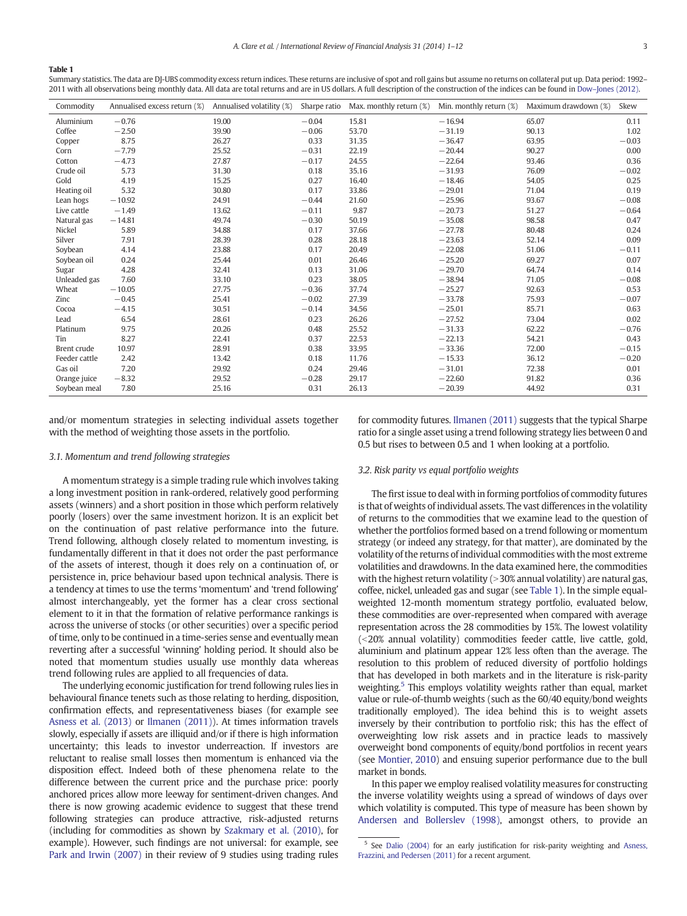<span id="page-2-0"></span>Summary statistics. The data are DJ-UBS commodity excess return indices. These returns are inclusive of spot and roll gains but assume no returns on collateral put up. Data period: 1992– 2011 with all observations being monthly data. All data are total returns and are in US dollars. A full description of the construction of the indices can be found in Dow–[Jones \(2012\).](#page-10-0)

| Commodity     | Annualised excess return (%) | Annualised volatility (%) | Sharpe ratio | Max, monthly return (%) | Min, monthly return (%) | Maximum drawdown (%) | Skew    |
|---------------|------------------------------|---------------------------|--------------|-------------------------|-------------------------|----------------------|---------|
| Aluminium     | $-0.76$                      | 19.00                     | $-0.04$      | 15.81                   | $-16.94$                | 65.07                | 0.11    |
| Coffee        | $-2.50$                      | 39.90                     | $-0.06$      | 53.70                   | $-31.19$                | 90.13                | 1.02    |
| Copper        | 8.75                         | 26.27                     | 0.33         | 31.35                   | $-36.47$                | 63.95                | $-0.03$ |
| Corn          | $-7.79$                      | 25.52                     | $-0.31$      | 22.19                   | $-20.44$                | 90.27                | 0.00    |
| Cotton        | $-4.73$                      | 27.87                     | $-0.17$      | 24.55                   | $-22.64$                | 93.46                | 0.36    |
| Crude oil     | 5.73                         | 31.30                     | 0.18         | 35.16                   | $-31.93$                | 76.09                | $-0.02$ |
| Gold          | 4.19                         | 15.25                     | 0.27         | 16.40                   | $-18.46$                | 54.05                | 0.25    |
| Heating oil   | 5.32                         | 30.80                     | 0.17         | 33.86                   | $-29.01$                | 71.04                | 0.19    |
| Lean hogs     | $-10.92$                     | 24.91                     | $-0.44$      | 21.60                   | $-25.96$                | 93.67                | $-0.08$ |
| Live cattle   | $-1.49$                      | 13.62                     | $-0.11$      | 9.87                    | $-20.73$                | 51.27                | $-0.64$ |
| Natural gas   | $-14.81$                     | 49.74                     | $-0.30$      | 50.19                   | $-35.08$                | 98.58                | 0.47    |
| Nickel        | 5.89                         | 34.88                     | 0.17         | 37.66                   | $-27.78$                | 80.48                | 0.24    |
| Silver        | 7.91                         | 28.39                     | 0.28         | 28.18                   | $-23.63$                | 52.14                | 0.09    |
| Soybean       | 4.14                         | 23.88                     | 0.17         | 20.49                   | $-22.08$                | 51.06                | $-0.11$ |
| Soybean oil   | 0.24                         | 25.44                     | 0.01         | 26.46                   | $-25.20$                | 69.27                | 0.07    |
| Sugar         | 4.28                         | 32.41                     | 0.13         | 31.06                   | $-29.70$                | 64.74                | 0.14    |
| Unleaded gas  | 7.60                         | 33.10                     | 0.23         | 38.05                   | $-38.94$                | 71.05                | $-0.08$ |
| Wheat         | $-10.05$                     | 27.75                     | $-0.36$      | 37.74                   | $-25.27$                | 92.63                | 0.53    |
| Zinc          | $-0.45$                      | 25.41                     | $-0.02$      | 27.39                   | $-33.78$                | 75.93                | $-0.07$ |
| Cocoa         | $-4.15$                      | 30.51                     | $-0.14$      | 34.56                   | $-25.01$                | 85.71                | 0.63    |
| Lead          | 6.54                         | 28.61                     | 0.23         | 26.26                   | $-27.52$                | 73.04                | 0.02    |
| Platinum      | 9.75                         | 20.26                     | 0.48         | 25.52                   | $-31.33$                | 62.22                | $-0.76$ |
| Tin           | 8.27                         | 22.41                     | 0.37         | 22.53                   | $-22.13$                | 54.21                | 0.43    |
| Brent crude   | 10.97                        | 28.91                     | 0.38         | 33.95                   | $-33.36$                | 72.00                | $-0.15$ |
| Feeder cattle | 2.42                         | 13.42                     | 0.18         | 11.76                   | $-15.33$                | 36.12                | $-0.20$ |
| Gas oil       | 7.20                         | 29.92                     | 0.24         | 29.46                   | $-31.01$                | 72.38                | 0.01    |
| Orange juice  | $-8.32$                      | 29.52                     | $-0.28$      | 29.17                   | $-22,60$                | 91.82                | 0.36    |
| Soybean meal  | 7.80                         | 25.16                     | 0.31         | 26.13                   | $-20.39$                | 44.92                | 0.31    |

and/or momentum strategies in selecting individual assets together with the method of weighting those assets in the portfolio.

### 3.1. Momentum and trend following strategies

A momentum strategy is a simple trading rule which involves taking a long investment position in rank-ordered, relatively good performing assets (winners) and a short position in those which perform relatively poorly (losers) over the same investment horizon. It is an explicit bet on the continuation of past relative performance into the future. Trend following, although closely related to momentum investing, is fundamentally different in that it does not order the past performance of the assets of interest, though it does rely on a continuation of, or persistence in, price behaviour based upon technical analysis. There is a tendency at times to use the terms 'momentum' and 'trend following' almost interchangeably, yet the former has a clear cross sectional element to it in that the formation of relative performance rankings is across the universe of stocks (or other securities) over a specific period of time, only to be continued in a time-series sense and eventually mean reverting after a successful 'winning' holding period. It should also be noted that momentum studies usually use monthly data whereas trend following rules are applied to all frequencies of data.

The underlying economic justification for trend following rules lies in behavioural finance tenets such as those relating to herding, disposition, confirmation effects, and representativeness biases (for example see [Asness et al. \(2013\)](#page-10-0) or [Ilmanen \(2011\)\)](#page-10-0). At times information travels slowly, especially if assets are illiquid and/or if there is high information uncertainty; this leads to investor underreaction. If investors are reluctant to realise small losses then momentum is enhanced via the disposition effect. Indeed both of these phenomena relate to the difference between the current price and the purchase price: poorly anchored prices allow more leeway for sentiment-driven changes. And there is now growing academic evidence to suggest that these trend following strategies can produce attractive, risk-adjusted returns (including for commodities as shown by [Szakmary et al. \(2010\)](#page-11-0), for example). However, such findings are not universal: for example, see [Park and Irwin \(2007\)](#page-11-0) in their review of 9 studies using trading rules for commodity futures. [Ilmanen \(2011\)](#page-10-0) suggests that the typical Sharpe ratio for a single asset using a trend following strategy lies between 0 and 0.5 but rises to between 0.5 and 1 when looking at a portfolio.

# 3.2. Risk parity vs equal portfolio weights

The first issue to deal with in forming portfolios of commodity futures is that of weights of individual assets. The vast differences in the volatility of returns to the commodities that we examine lead to the question of whether the portfolios formed based on a trend following or momentum strategy (or indeed any strategy, for that matter), are dominated by the volatility of the returns of individual commodities with themost extreme volatilities and drawdowns. In the data examined here, the commodities with the highest return volatility  $(>30\%)$  annual volatility) are natural gas, coffee, nickel, unleaded gas and sugar (see Table 1). In the simple equalweighted 12-month momentum strategy portfolio, evaluated below, these commodities are over-represented when compared with average representation across the 28 commodities by 15%. The lowest volatility  $\langle$  <20% annual volatility) commodities feeder cattle, live cattle, gold, aluminium and platinum appear 12% less often than the average. The resolution to this problem of reduced diversity of portfolio holdings that has developed in both markets and in the literature is risk-parity weighting.<sup>5</sup> This employs volatility weights rather than equal, market value or rule-of-thumb weights (such as the 60/40 equity/bond weights traditionally employed). The idea behind this is to weight assets inversely by their contribution to portfolio risk; this has the effect of overweighting low risk assets and in practice leads to massively overweight bond components of equity/bond portfolios in recent years (see [Montier, 2010\)](#page-10-0) and ensuing superior performance due to the bull market in bonds.

In this paper we employ realised volatility measures for constructing the inverse volatility weights using a spread of windows of days over which volatility is computed. This type of measure has been shown by [Andersen and Bollerslev \(1998\),](#page-10-0) amongst others, to provide an

<sup>&</sup>lt;sup>5</sup> See [Dalio \(2004\)](#page-10-0) for an early justification for risk-parity weighting and [Asness,](#page-10-0) [Frazzini, and Pedersen \(2011\)](#page-10-0) for a recent argument.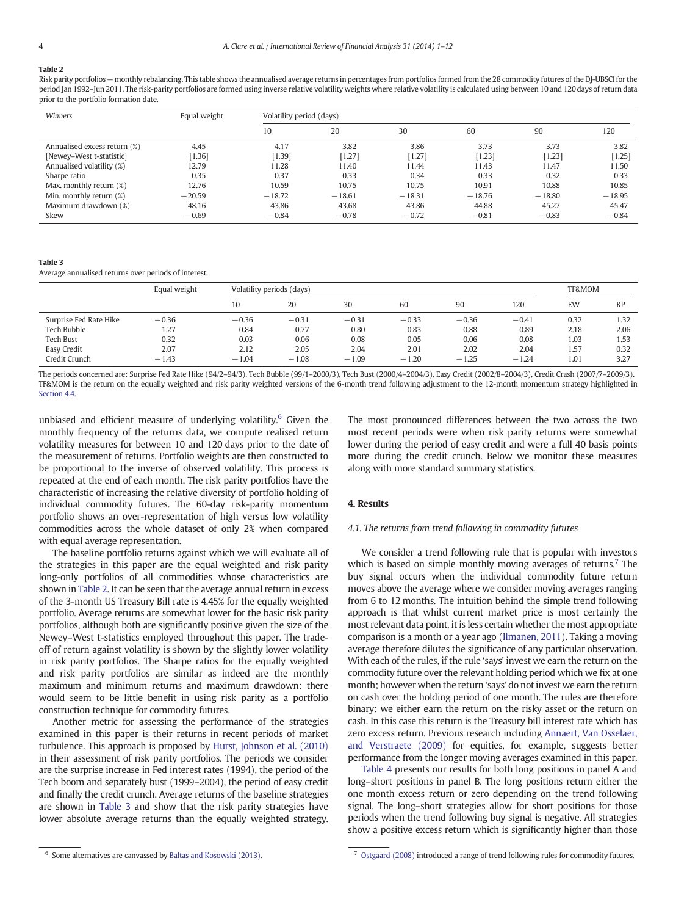<span id="page-3-0"></span>Risk parity portfolios — monthly rebalancing. This table shows the annualised average returns in percentages from portfolios formed from the 28 commodity futures of the DJ-UBSCI for the period Jan 1992–Jun 2011. The risk-parity portfolios are formed using inverse relative volatility weights where relative volatility is calculated using between 10 and 120 days of return data prior to the portfolio formation date.

| <b>Winners</b>               | Equal weight |          | Volatility period (days) |          |          |          |          |  |  |
|------------------------------|--------------|----------|--------------------------|----------|----------|----------|----------|--|--|
|                              |              | 10       | 20                       | 30       | 60       | 90       | 120      |  |  |
| Annualised excess return (%) | 4.45         | 4.17     | 3.82                     | 3.86     | 3.73     | 3.73     | 3.82     |  |  |
| [Newey-West t-statistic]     | [1.36]       | 1.39]    | 1.27                     | 1.27     | 1.23     | 1.23     | [1.25]   |  |  |
| Annualised volatility (%)    | 12.79        | 11.28    | 11.40                    | 11.44    | 11.43    | 11.47    | 11.50    |  |  |
| Sharpe ratio                 | 0.35         | 0.37     | 0.33                     | 0.34     | 0.33     | 0.32     | 0.33     |  |  |
| Max, monthly return $(\%)$   | 12.76        | 10.59    | 10.75                    | 10.75    | 10.91    | 10.88    | 10.85    |  |  |
| Min, monthly return (%)      | $-20.59$     | $-18.72$ | $-18.61$                 | $-18.31$ | $-18.76$ | $-18.80$ | $-18.95$ |  |  |
| Maximum drawdown (%)         | 48.16        | 43.86    | 43.68                    | 43.86    | 44.88    | 45.27    | 45.47    |  |  |
| Skew                         | $-0.69$      | $-0.84$  | $-0.78$                  | $-0.72$  | $-0.81$  | $-0.83$  | $-0.84$  |  |  |

### Table 3

Average annualised returns over periods of interest.

|                        | Equal weight |         | Volatility periods (days) |         |         |         |         |      | TF&MOM |  |
|------------------------|--------------|---------|---------------------------|---------|---------|---------|---------|------|--------|--|
|                        |              | 10      | 20                        | 30      | 60      | 90      | 120     | EW   | RP     |  |
| Surprise Fed Rate Hike | $-0.36$      | $-0.36$ | $-0.31$                   | $-0.31$ | $-0.33$ | $-0.36$ | $-0.41$ | 0.32 | 1.32   |  |
| Tech Bubble            | 1.27         | 0.84    | 0.77                      | 0.80    | 0.83    | 0.88    | 0.89    | 2.18 | 2.06   |  |
| <b>Tech Bust</b>       | 0.32         | 0.03    | 0.06                      | 0.08    | 0.05    | 0.06    | 0.08    | 1.03 | 1.53   |  |
| Easy Credit            | 2.07         | 2.12    | 2.05                      | 2.04    | 2.01    | 2.02    | 2.04    | 1.57 | 0.32   |  |
| Credit Crunch          | $-1.43$      | $-1.04$ | $-1.08$                   | $-1.09$ | $-1.20$ | $-1.25$ | $-1.24$ | 1.01 | 3.27   |  |

The periods concerned are: Surprise Fed Rate Hike (94/2–94/3), Tech Bubble (99/1–2000/3), Tech Bust (2000/4–2004/3), Easy Credit (2002/8–2004/3), Credit Crash (2007/7–2009/3). TF&MOM is the return on the equally weighted and risk parity weighted versions of the 6-month trend following adjustment to the 12-month momentum strategy highlighted in Section 44

unbiased and efficient measure of underlying volatility. $6$  Given the monthly frequency of the returns data, we compute realised return volatility measures for between 10 and 120 days prior to the date of the measurement of returns. Portfolio weights are then constructed to be proportional to the inverse of observed volatility. This process is repeated at the end of each month. The risk parity portfolios have the characteristic of increasing the relative diversity of portfolio holding of individual commodity futures. The 60-day risk-parity momentum portfolio shows an over-representation of high versus low volatility commodities across the whole dataset of only 2% when compared with equal average representation.

The baseline portfolio returns against which we will evaluate all of the strategies in this paper are the equal weighted and risk parity long-only portfolios of all commodities whose characteristics are shown in Table 2. It can be seen that the average annual return in excess of the 3-month US Treasury Bill rate is 4.45% for the equally weighted portfolio. Average returns are somewhat lower for the basic risk parity portfolios, although both are significantly positive given the size of the Newey–West t-statistics employed throughout this paper. The tradeoff of return against volatility is shown by the slightly lower volatility in risk parity portfolios. The Sharpe ratios for the equally weighted and risk parity portfolios are similar as indeed are the monthly maximum and minimum returns and maximum drawdown: there would seem to be little benefit in using risk parity as a portfolio construction technique for commodity futures.

Another metric for assessing the performance of the strategies examined in this paper is their returns in recent periods of market turbulence. This approach is proposed by [Hurst, Johnson et al. \(2010\)](#page-10-0) in their assessment of risk parity portfolios. The periods we consider are the surprise increase in Fed interest rates (1994), the period of the Tech boom and separately bust (1999–2004), the period of easy credit and finally the credit crunch. Average returns of the baseline strategies are shown in Table 3 and show that the risk parity strategies have lower absolute average returns than the equally weighted strategy. The most pronounced differences between the two across the two most recent periods were when risk parity returns were somewhat lower during the period of easy credit and were a full 40 basis points more during the credit crunch. Below we monitor these measures along with more standard summary statistics.

# 4. Results

# 4.1. The returns from trend following in commodity futures

We consider a trend following rule that is popular with investors which is based on simple monthly moving averages of returns.<sup>7</sup> The buy signal occurs when the individual commodity future return moves above the average where we consider moving averages ranging from 6 to 12 months. The intuition behind the simple trend following approach is that whilst current market price is most certainly the most relevant data point, it is less certain whether the most appropriate comparison is a month or a year ago [\(Ilmanen, 2011\)](#page-10-0). Taking a moving average therefore dilutes the significance of any particular observation. With each of the rules, if the rule 'says' invest we earn the return on the commodity future over the relevant holding period which we fix at one month; however when the return 'says' do not invest we earn the return on cash over the holding period of one month. The rules are therefore binary: we either earn the return on the risky asset or the return on cash. In this case this return is the Treasury bill interest rate which has zero excess return. Previous research including [Annaert, Van Osselaer,](#page-10-0) [and Verstraete \(2009\)](#page-10-0) for equities, for example, suggests better performance from the longer moving averages examined in this paper.

[Table 4](#page-4-0) presents our results for both long positions in panel A and long–short positions in panel B. The long positions return either the one month excess return or zero depending on the trend following signal. The long–short strategies allow for short positions for those periods when the trend following buy signal is negative. All strategies show a positive excess return which is significantly higher than those

<sup>6</sup> Some alternatives are canvassed by [Baltas and Kosowski \(2013\).](#page-10-0)

<sup>7</sup> [Ostgaard \(2008\)](#page-10-0) introduced a range of trend following rules for commodity futures.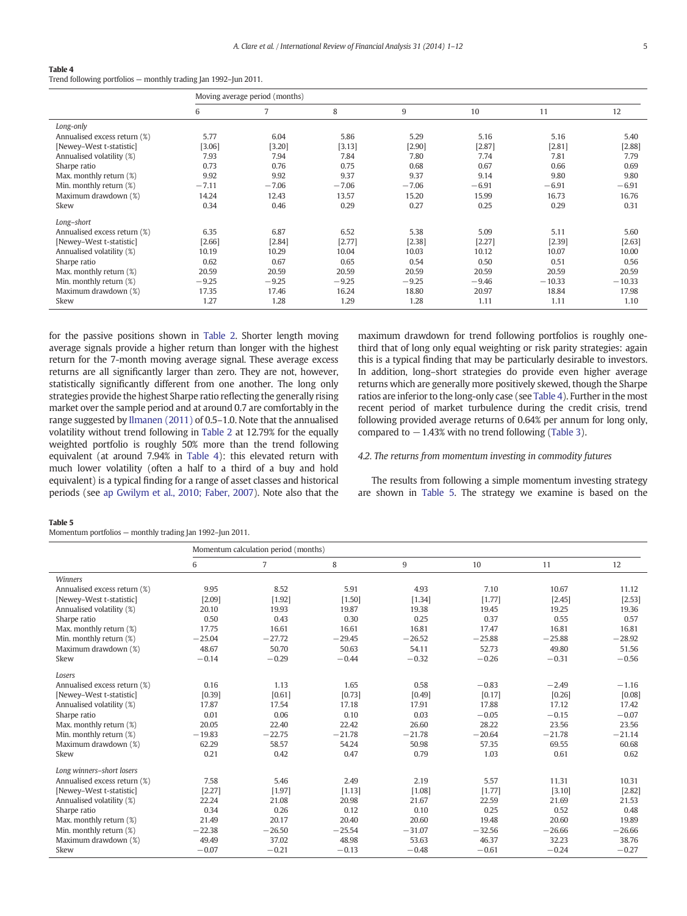<span id="page-4-0"></span>Trend following portfolios — monthly trading Jan 1992–Jun 2011.

|                              |         | Moving average period (months) |         |         |         |          |          |
|------------------------------|---------|--------------------------------|---------|---------|---------|----------|----------|
|                              | 6       | $\overline{7}$                 | 8       | 9       | 10      | 11       | 12       |
| Long-only                    |         |                                |         |         |         |          |          |
| Annualised excess return (%) | 5.77    | 6.04                           | 5.86    | 5.29    | 5.16    | 5.16     | 5.40     |
| [Newey-West t-statistic]     | [3.06]  | [3.20]                         | [3.13]  | [2.90]  | [2.87]  | [2.81]   | [2.88]   |
| Annualised volatility (%)    | 7.93    | 7.94                           | 7.84    | 7.80    | 7.74    | 7.81     | 7.79     |
| Sharpe ratio                 | 0.73    | 0.76                           | 0.75    | 0.68    | 0.67    | 0.66     | 0.69     |
| Max, monthly return (%)      | 9.92    | 9.92                           | 9.37    | 9.37    | 9.14    | 9.80     | 9.80     |
| Min. monthly return (%)      | $-7.11$ | $-7.06$                        | $-7.06$ | $-7.06$ | $-6.91$ | $-6.91$  | $-6.91$  |
| Maximum drawdown (%)         | 14.24   | 12.43                          | 13.57   | 15.20   | 15.99   | 16.73    | 16.76    |
| Skew                         | 0.34    | 0.46                           | 0.29    | 0.27    | 0.25    | 0.29     | 0.31     |
| Long-short                   |         |                                |         |         |         |          |          |
| Annualised excess return (%) | 6.35    | 6.87                           | 6.52    | 5.38    | 5.09    | 5.11     | 5.60     |
| [Newey-West t-statistic]     | [2.66]  | [2.84]                         | [2.77]  | [2.38]  | [2.27]  | [2.39]   | [2.63]   |
| Annualised volatility (%)    | 10.19   | 10.29                          | 10.04   | 10.03   | 10.12   | 10.07    | 10.00    |
| Sharpe ratio                 | 0.62    | 0.67                           | 0.65    | 0.54    | 0.50    | 0.51     | 0.56     |
| Max, monthly return (%)      | 20.59   | 20.59                          | 20.59   | 20.59   | 20.59   | 20.59    | 20.59    |
| Min. monthly return (%)      | $-9.25$ | $-9.25$                        | $-9.25$ | $-9.25$ | $-9.46$ | $-10.33$ | $-10.33$ |
| Maximum drawdown (%)         | 17.35   | 17.46                          | 16.24   | 18.80   | 20.97   | 18.84    | 17.98    |
| Skew                         | 1.27    | 1.28                           | 1.29    | 1.28    | 1.11    | 1.11     | 1.10     |

for the passive positions shown in [Table 2.](#page-3-0) Shorter length moving average signals provide a higher return than longer with the highest return for the 7-month moving average signal. These average excess returns are all significantly larger than zero. They are not, however, statistically significantly different from one another. The long only strategies provide the highest Sharpe ratio reflecting the generally rising market over the sample period and at around 0.7 are comfortably in the range suggested by [Ilmanen \(2011\)](#page-10-0) of 0.5–1.0. Note that the annualised volatility without trend following in [Table 2](#page-3-0) at 12.79% for the equally weighted portfolio is roughly 50% more than the trend following equivalent (at around 7.94% in Table 4): this elevated return with much lower volatility (often a half to a third of a buy and hold equivalent) is a typical finding for a range of asset classes and historical periods (see [ap Gwilym et al., 2010; Faber, 2007\)](#page-10-0). Note also that the maximum drawdown for trend following portfolios is roughly onethird that of long only equal weighting or risk parity strategies: again this is a typical finding that may be particularly desirable to investors. In addition, long–short strategies do provide even higher average returns which are generally more positively skewed, though the Sharpe ratios are inferior to the long-only case (see Table 4). Further in the most recent period of market turbulence during the credit crisis, trend following provided average returns of 0.64% per annum for long only, compared to  $-1.43\%$  with no trend following [\(Table 3\)](#page-3-0).

# 4.2. The returns from momentum investing in commodity futures

The results from following a simple momentum investing strategy are shown in Table 5. The strategy we examine is based on the

#### Table 5

Momentum portfolios — monthly trading Jan 1992–Jun 2011.

| formement portionos<br>$\frac{1}{2}$ monthly trading fair 1992 Jun 2011. |          |                                      |          |          |          |          |          |  |  |  |
|--------------------------------------------------------------------------|----------|--------------------------------------|----------|----------|----------|----------|----------|--|--|--|
|                                                                          |          | Momentum calculation period (months) |          |          |          |          |          |  |  |  |
|                                                                          | 6        | $\overline{7}$                       | 8        | 9        | 10       | 11       | 12       |  |  |  |
| <b>Winners</b>                                                           |          |                                      |          |          |          |          |          |  |  |  |
| Annualised excess return (%)                                             | 9.95     | 8.52                                 | 5.91     | 4.93     | 7.10     | 10.67    | 11.12    |  |  |  |
| [Newey-West t-statistic]                                                 | [2.09]   | $[1.92]$                             | $[1.50]$ | [1.34]   | [1.77]   | [2.45]   | [2.53]   |  |  |  |
| Annualised volatility (%)                                                | 20.10    | 19.93                                | 19.87    | 19.38    | 19.45    | 19.25    | 19.36    |  |  |  |
| Sharpe ratio                                                             | 0.50     | 0.43                                 | 0.30     | 0.25     | 0.37     | 0.55     | 0.57     |  |  |  |
| Max, monthly return (%)                                                  | 17.75    | 16.61                                | 16.61    | 16.81    | 17.47    | 16.81    | 16.81    |  |  |  |
| Min. monthly return (%)                                                  | $-25.04$ | $-27.72$                             | $-29.45$ | $-26.52$ | $-25.88$ | $-25.88$ | $-28.92$ |  |  |  |
| Maximum drawdown (%)                                                     | 48.67    | 50.70                                | 50.63    | 54.11    | 52.73    | 49.80    | 51.56    |  |  |  |
| Skew                                                                     | $-0.14$  | $-0.29$                              | $-0.44$  | $-0.32$  | $-0.26$  | $-0.31$  | $-0.56$  |  |  |  |
| Losers                                                                   |          |                                      |          |          |          |          |          |  |  |  |
| Annualised excess return (%)                                             | 0.16     | 1.13                                 | 1.65     | 0.58     | $-0.83$  | $-2.49$  | $-1.16$  |  |  |  |
| [Newey-West t-statistic]                                                 | [0.39]   | [0.61]                               | [0.73]   | [0.49]   | [0.17]   | [0.26]   | [0.08]   |  |  |  |
| Annualised volatility (%)                                                | 17.87    | 17.54                                | 17.18    | 17.91    | 17.88    | 17.12    | 17.42    |  |  |  |
| Sharpe ratio                                                             | 0.01     | 0.06                                 | 0.10     | 0.03     | $-0.05$  | $-0.15$  | $-0.07$  |  |  |  |
| Max, monthly return (%)                                                  | 20.05    | 22.40                                | 22.42    | 26.60    | 28.22    | 23.56    | 23.56    |  |  |  |
| Min. monthly return (%)                                                  | $-19.83$ | $-22.75$                             | $-21.78$ | $-21.78$ | $-20.64$ | $-21.78$ | $-21.14$ |  |  |  |
| Maximum drawdown (%)                                                     | 62.29    | 58.57                                | 54.24    | 50.98    | 57.35    | 69.55    | 60.68    |  |  |  |
| Skew                                                                     | 0.21     | 0.42                                 | 0.47     | 0.79     | 1.03     | 0.61     | 0.62     |  |  |  |
| Long winners-short losers                                                |          |                                      |          |          |          |          |          |  |  |  |
| Annualised excess return (%)                                             | 7.58     | 5.46                                 | 2.49     | 2.19     | 5.57     | 11.31    | 10.31    |  |  |  |
| [Newey-West t-statistic]                                                 | [2.27]   | [1.97]                               | [1.13]   | [1.08]   | [1.77]   | [3.10]   | [2.82]   |  |  |  |
| Annualised volatility (%)                                                | 22.24    | 21.08                                | 20.98    | 21.67    | 22.59    | 21.69    | 21.53    |  |  |  |
| Sharpe ratio                                                             | 0.34     | 0.26                                 | 0.12     | 0.10     | 0.25     | 0.52     | 0.48     |  |  |  |
| Max. monthly return (%)                                                  | 21.49    | 20.17                                | 20.40    | 20.60    | 19.48    | 20.60    | 19.89    |  |  |  |
| Min. monthly return (%)                                                  | $-22.38$ | $-26.50$                             | $-25.54$ | $-31.07$ | $-32.56$ | $-26.66$ | $-26.66$ |  |  |  |
| Maximum drawdown (%)                                                     | 49.49    | 37.02                                | 48.98    | 53.63    | 46.37    | 32.23    | 38.76    |  |  |  |
| Skew                                                                     | $-0.07$  | $-0.21$                              | $-0.13$  | $-0.48$  | $-0.61$  | $-0.24$  | $-0.27$  |  |  |  |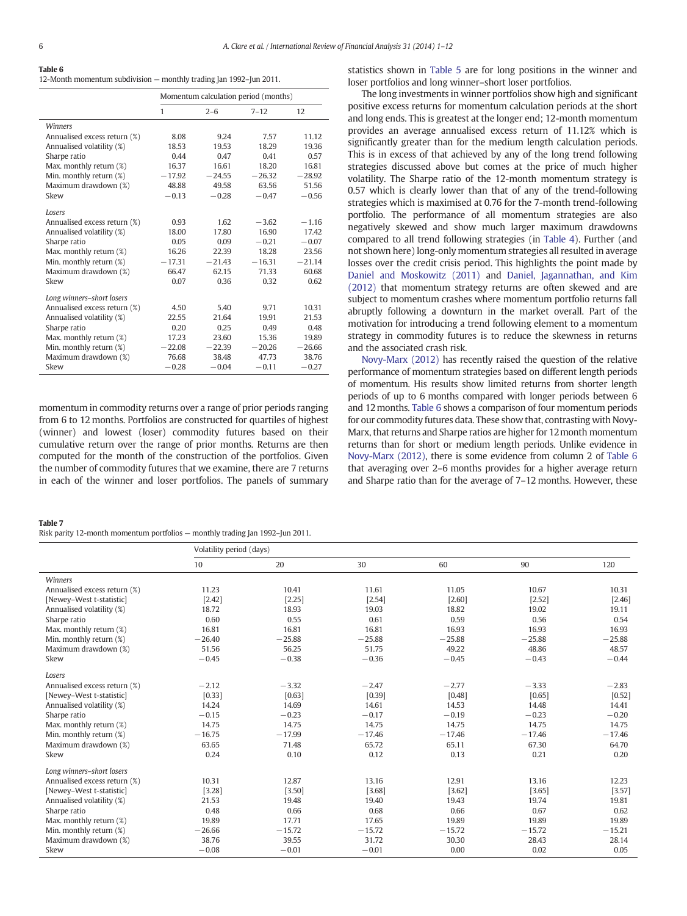<span id="page-5-0"></span>12-Month momentum subdivision — monthly trading Jan 1992–Jun 2011.

|                              |              |          | Momentum calculation period (months) |          |
|------------------------------|--------------|----------|--------------------------------------|----------|
|                              | $\mathbf{1}$ | $2 - 6$  | $7 - 12$                             | 12       |
| <b>Winners</b>               |              |          |                                      |          |
| Annualised excess return (%) | 8.08         | 9.24     | 7.57                                 | 11.12    |
| Annualised volatility (%)    | 18.53        | 19.53    | 18.29                                | 19.36    |
| Sharpe ratio                 | 0.44         | 0.47     | 0.41                                 | 0.57     |
| Max, monthly return (%)      | 16.37        | 16.61    | 18.20                                | 16.81    |
| Min, monthly return (%)      | $-17.92$     | $-24.55$ | $-26.32$                             | $-28.92$ |
| Maximum drawdown (%)         | 48.88        | 49.58    | 63.56                                | 51.56    |
| Skew                         | $-0.13$      | $-0.28$  | $-0.47$                              | $-0.56$  |
| Losers                       |              |          |                                      |          |
| Annualised excess return (%) | 0.93         | 1.62     | $-3.62$                              | $-1.16$  |
| Annualised volatility (%)    | 18.00        | 17.80    | 16.90                                | 17.42    |
| Sharpe ratio                 | 0.05         | 0.09     | $-0.21$                              | $-0.07$  |
| Max, monthly return (%)      | 16.26        | 22.39    | 18.28                                | 23.56    |
| Min. monthly return (%)      | $-17.31$     | $-21.43$ | $-16.31$                             | $-21.14$ |
| Maximum drawdown (%)         | 66.47        | 62.15    | 71.33                                | 60.68    |
| Skew                         | 0.07         | 0.36     | 0.32                                 | 0.62     |
|                              |              |          |                                      |          |
| Long winners-short losers    |              |          |                                      |          |
| Annualised excess return (%) | 4.50         | 5.40     | 9.71                                 | 10.31    |
| Annualised volatility (%)    | 22.55        | 21.64    | 19.91                                | 21.53    |
| Sharpe ratio                 | 0.20         | 0.25     | 0.49                                 | 0.48     |
| Max, monthly return (%)      | 17.23        | 23.60    | 15.36                                | 19.89    |
| Min. monthly return (%)      | $-22.08$     | $-22.39$ | $-20.26$                             | $-26.66$ |
| Maximum drawdown (%)         | 76.68        | 38.48    | 47.73                                | 38.76    |
| Skew                         | $-0.28$      | $-0.04$  | $-0.11$                              | $-0.27$  |

momentum in commodity returns over a range of prior periods ranging from 6 to 12 months. Portfolios are constructed for quartiles of highest (winner) and lowest (loser) commodity futures based on their cumulative return over the range of prior months. Returns are then computed for the month of the construction of the portfolios. Given the number of commodity futures that we examine, there are 7 returns in each of the winner and loser portfolios. The panels of summary

#### Table 7

| Risk parity 12-month momentum portfolios — monthly trading Jan 1992–Jun 2011. |  |  |  |
|-------------------------------------------------------------------------------|--|--|--|
|                                                                               |  |  |  |

statistics shown in [Table 5](#page-4-0) are for long positions in the winner and loser portfolios and long winner–short loser portfolios.

The long investments in winner portfolios show high and significant positive excess returns for momentum calculation periods at the short and long ends. This is greatest at the longer end; 12-month momentum provides an average annualised excess return of 11.12% which is significantly greater than for the medium length calculation periods. This is in excess of that achieved by any of the long trend following strategies discussed above but comes at the price of much higher volatility. The Sharpe ratio of the 12-month momentum strategy is 0.57 which is clearly lower than that of any of the trend-following strategies which is maximised at 0.76 for the 7-month trend-following portfolio. The performance of all momentum strategies are also negatively skewed and show much larger maximum drawdowns compared to all trend following strategies (in [Table 4](#page-4-0)). Further (and not shown here) long-only momentum strategies all resulted in average losses over the credit crisis period. This highlights the point made by [Daniel and Moskowitz \(2011\)](#page-10-0) and [Daniel, Jagannathan, and Kim](#page-10-0) [\(2012\)](#page-10-0) that momentum strategy returns are often skewed and are subject to momentum crashes where momentum portfolio returns fall abruptly following a downturn in the market overall. Part of the motivation for introducing a trend following element to a momentum strategy in commodity futures is to reduce the skewness in returns and the associated crash risk.

[Novy-Marx \(2012\)](#page-10-0) has recently raised the question of the relative performance of momentum strategies based on different length periods of momentum. His results show limited returns from shorter length periods of up to 6 months compared with longer periods between 6 and 12months. Table 6 shows a comparison of four momentum periods for our commodity futures data. These show that, contrasting with Novy-Marx, that returns and Sharpe ratios are higher for 12month momentum returns than for short or medium length periods. Unlike evidence in [Novy-Marx \(2012\),](#page-10-0) there is some evidence from column 2 of Table 6 that averaging over 2–6 months provides for a higher average return and Sharpe ratio than for the average of 7–12 months. However, these

|                              | Volatility period (days) |          |          |          |          |          |  |  |
|------------------------------|--------------------------|----------|----------|----------|----------|----------|--|--|
|                              | 10                       | 20       | 30       | 60       | 90       | 120      |  |  |
| Winners                      |                          |          |          |          |          |          |  |  |
| Annualised excess return (%) | 11.23                    | 10.41    | 11.61    | 11.05    | 10.67    | 10.31    |  |  |
| [Newey-West t-statistic]     | $[2.42]$                 | [2.25]   | [2.54]   | [2.60]   | [2.52]   | [2.46]   |  |  |
| Annualised volatility (%)    | 18.72                    | 18.93    | 19.03    | 18.82    | 19.02    | 19.11    |  |  |
| Sharpe ratio                 | 0.60                     | 0.55     | 0.61     | 0.59     | 0.56     | 0.54     |  |  |
| Max, monthly return (%)      | 16.81                    | 16.81    | 16.81    | 16.93    | 16.93    | 16.93    |  |  |
| Min. monthly return (%)      | $-26.40$                 | $-25.88$ | $-25.88$ | $-25.88$ | $-25.88$ | $-25.88$ |  |  |
| Maximum drawdown (%)         | 51.56                    | 56.25    | 51.75    | 49.22    | 48.86    | 48.57    |  |  |
| Skew                         | $-0.45$                  | $-0.38$  | $-0.36$  | $-0.45$  | $-0.43$  | $-0.44$  |  |  |
| Losers                       |                          |          |          |          |          |          |  |  |
| Annualised excess return (%) | $-2.12$                  | $-3.32$  | $-2.47$  | $-2.77$  | $-3.33$  | $-2.83$  |  |  |
| [Newey-West t-statistic]     | [0.33]                   | [0.63]   | [0.39]   | [0.48]   | [0.65]   | $[0.52]$ |  |  |
| Annualised volatility (%)    | 14.24                    | 14.69    | 14.61    | 14.53    | 14.48    | 14.41    |  |  |
| Sharpe ratio                 | $-0.15$                  | $-0.23$  | $-0.17$  | $-0.19$  | $-0.23$  | $-0.20$  |  |  |
| Max, monthly return (%)      | 14.75                    | 14.75    | 14.75    | 14.75    | 14.75    | 14.75    |  |  |
| Min. monthly return (%)      | $-16.75$                 | $-17.99$ | $-17.46$ | $-17.46$ | $-17.46$ | $-17.46$ |  |  |
| Maximum drawdown (%)         | 63.65                    | 71.48    | 65.72    | 65.11    | 67.30    | 64.70    |  |  |
| Skew                         | 0.24                     | 0.10     | 0.12     | 0.13     | 0.21     | 0.20     |  |  |
| Long winners-short losers    |                          |          |          |          |          |          |  |  |
| Annualised excess return (%) | 10.31                    | 12.87    | 13.16    | 12.91    | 13.16    | 12.23    |  |  |
| [Newey-West t-statistic]     | [3.28]                   | [3.50]   | [3.68]   | [3.62]   | [3.65]   | [3.57]   |  |  |
| Annualised volatility (%)    | 21.53                    | 19.48    | 19.40    | 19.43    | 19.74    | 19.81    |  |  |
| Sharpe ratio                 | 0.48                     | 0.66     | 0.68     | 0.66     | 0.67     | 0.62     |  |  |
| Max, monthly return (%)      | 19.89                    | 17.71    | 17.65    | 19.89    | 19.89    | 19.89    |  |  |
| Min. monthly return (%)      | $-26.66$                 | $-15.72$ | $-15.72$ | $-15.72$ | $-15.72$ | $-15.21$ |  |  |
| Maximum drawdown (%)         | 38.76                    | 39.55    | 31.72    | 30.30    | 28.43    | 28.14    |  |  |
| Skew                         | $-0.08$                  | $-0.01$  | $-0.01$  | 0.00     | 0.02     | 0.05     |  |  |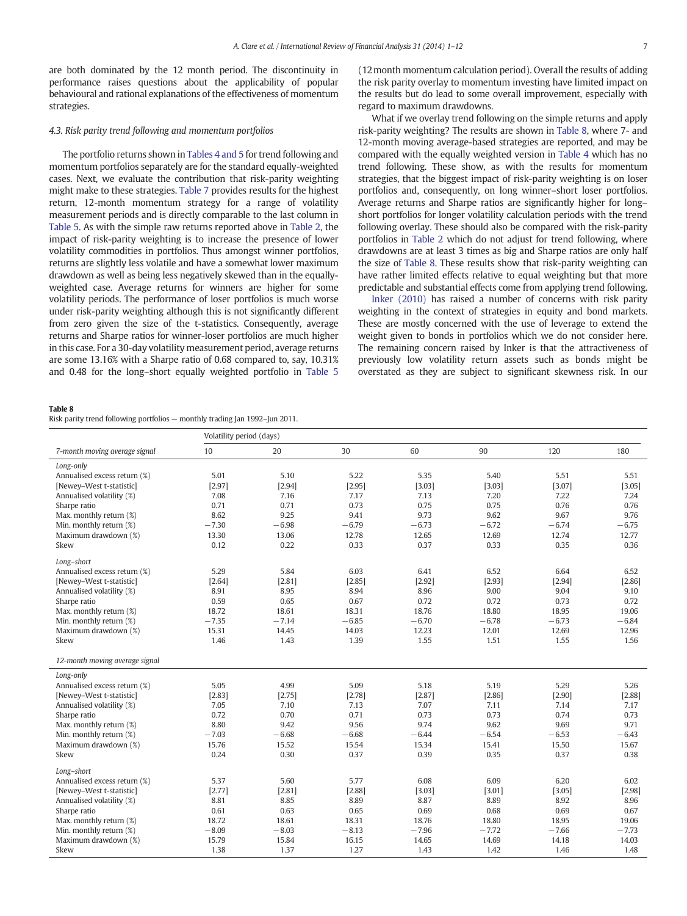are both dominated by the 12 month period. The discontinuity in performance raises questions about the applicability of popular behavioural and rational explanations of the effectiveness of momentum strategies.

# 4.3. Risk parity trend following and momentum portfolios

The portfolio returns shown in [Tables 4 and 5](#page-4-0) for trend following and momentum portfolios separately are for the standard equally-weighted cases. Next, we evaluate the contribution that risk-parity weighting might make to these strategies. [Table 7](#page-5-0) provides results for the highest return, 12-month momentum strategy for a range of volatility measurement periods and is directly comparable to the last column in [Table 5](#page-4-0). As with the simple raw returns reported above in [Table 2,](#page-3-0) the impact of risk-parity weighting is to increase the presence of lower volatility commodities in portfolios. Thus amongst winner portfolios, returns are slightly less volatile and have a somewhat lower maximum drawdown as well as being less negatively skewed than in the equallyweighted case. Average returns for winners are higher for some volatility periods. The performance of loser portfolios is much worse under risk-parity weighting although this is not significantly different from zero given the size of the t-statistics. Consequently, average returns and Sharpe ratios for winner-loser portfolios are much higher in this case. For a 30-day volatility measurement period, average returns are some 13.16% with a Sharpe ratio of 0.68 compared to, say, 10.31% and 0.48 for the long–short equally weighted portfolio in [Table 5](#page-4-0) (12month momentum calculation period). Overall the results of adding the risk parity overlay to momentum investing have limited impact on the results but do lead to some overall improvement, especially with regard to maximum drawdowns.

What if we overlay trend following on the simple returns and apply risk-parity weighting? The results are shown in Table 8, where 7- and 12-month moving average-based strategies are reported, and may be compared with the equally weighted version in [Table 4](#page-4-0) which has no trend following. These show, as with the results for momentum strategies, that the biggest impact of risk-parity weighting is on loser portfolios and, consequently, on long winner–short loser portfolios. Average returns and Sharpe ratios are significantly higher for long– short portfolios for longer volatility calculation periods with the trend following overlay. These should also be compared with the risk-parity portfolios in [Table 2](#page-3-0) which do not adjust for trend following, where drawdowns are at least 3 times as big and Sharpe ratios are only half the size of Table 8. These results show that risk-parity weighting can have rather limited effects relative to equal weighting but that more predictable and substantial effects come from applying trend following.

[Inker \(2010\)](#page-10-0) has raised a number of concerns with risk parity weighting in the context of strategies in equity and bond markets. These are mostly concerned with the use of leverage to extend the weight given to bonds in portfolios which we do not consider here. The remaining concern raised by Inker is that the attractiveness of previously low volatility return assets such as bonds might be overstated as they are subject to significant skewness risk. In our

# Table 8

Risk parity trend following portfolios — monthly trading Jan 1992–Jun 2011.

|                                | Volatility period (days) |         |         |         |         |         |         |
|--------------------------------|--------------------------|---------|---------|---------|---------|---------|---------|
| 7-month moving average signal  | 10                       | 20      | 30      | 60      | 90      | 120     | 180     |
| Long-only                      |                          |         |         |         |         |         |         |
| Annualised excess return (%)   | 5.01                     | 5.10    | 5.22    | 5.35    | 5.40    | 5.51    | 5.51    |
| [Newey-West t-statistic]       | [2.97]                   | [2.94]  | [2.95]  | [3.03]  | [3.03]  | [3.07]  | [3.05]  |
| Annualised volatility (%)      | 7.08                     | 7.16    | 7.17    | 7.13    | 7.20    | 7.22    | 7.24    |
| Sharpe ratio                   | 0.71                     | 0.71    | 0.73    | 0.75    | 0.75    | 0.76    | 0.76    |
| Max. monthly return (%)        | 8.62                     | 9.25    | 9.41    | 9.73    | 9.62    | 9.67    | 9.76    |
| Min. monthly return (%)        | $-7.30$                  | $-6.98$ | $-6.79$ | $-6.73$ | $-6.72$ | $-6.74$ | $-6.75$ |
| Maximum drawdown (%)           | 13.30                    | 13.06   | 12.78   | 12.65   | 12.69   | 12.74   | 12.77   |
| Skew                           | 0.12                     | 0.22    | 0.33    | 0.37    | 0.33    | 0.35    | 0.36    |
| Long-short                     |                          |         |         |         |         |         |         |
| Annualised excess return (%)   | 5.29                     | 5.84    | 6.03    | 6.41    | 6.52    | 6.64    | 6.52    |
| [Newey-West t-statistic]       | [2.64]                   | [2.81]  | [2.85]  | [2.92]  | [2.93]  | [2.94]  | [2.86]  |
| Annualised volatility (%)      | 8.91                     | 8.95    | 8.94    | 8.96    | 9.00    | 9.04    | 9.10    |
| Sharpe ratio                   | 0.59                     | 0.65    | 0.67    | 0.72    | 0.72    | 0.73    | 0.72    |
| Max, monthly return (%)        | 18.72                    | 18.61   | 18.31   | 18.76   | 18.80   | 18.95   | 19.06   |
| Min. monthly return (%)        | $-7.35$                  | $-7.14$ | $-6.85$ | $-6.70$ | $-6.78$ | $-6.73$ | $-6.84$ |
| Maximum drawdown (%)           | 15.31                    | 14.45   | 14.03   | 12.23   | 12.01   | 12.69   | 12.96   |
| Skew                           | 1.46                     | 1.43    | 1.39    | 1.55    | 1.51    | 1.55    | 1.56    |
| 12-month moving average signal |                          |         |         |         |         |         |         |
| Long-only                      |                          |         |         |         |         |         |         |
| Annualised excess return (%)   | 5.05                     | 4.99    | 5.09    | 5.18    | 5.19    | 5.29    | 5.26    |
| [Newey-West t-statistic]       | [2.83]                   | [2.75]  | [2.78]  | [2.87]  | [2.86]  | [2.90]  | [2.88]  |
| Annualised volatility (%)      | 7.05                     | 7.10    | 7.13    | 7.07    | 7.11    | 7.14    | 7.17    |
| Sharpe ratio                   | 0.72                     | 0.70    | 0.71    | 0.73    | 0.73    | 0.74    | 0.73    |
| Max. monthly return (%)        | 8.80                     | 9.42    | 9.56    | 9.74    | 9.62    | 9.69    | 9.71    |
| Min. monthly return (%)        | $-7.03$                  | $-6.68$ | $-6.68$ | $-6.44$ | $-6.54$ | $-6.53$ | $-6.43$ |
| Maximum drawdown (%)           | 15.76                    | 15.52   | 15.54   | 15.34   | 15.41   | 15.50   | 15.67   |
| Skew                           | 0.24                     | 0.30    | 0.37    | 0.39    | 0.35    | 0.37    | 0.38    |
| Long-short                     |                          |         |         |         |         |         |         |
| Annualised excess return (%)   | 5.37                     | 5.60    | 5.77    | 6.08    | 6.09    | 6.20    | 6.02    |
| [Newey-West t-statistic]       | [2.77]                   | [2.81]  | [2.88]  | [3.03]  | [3.01]  | [3.05]  | [2.98]  |
| Annualised volatility (%)      | 8.81                     | 8.85    | 8.89    | 8.87    | 8.89    | 8.92    | 8.96    |
| Sharpe ratio                   | 0.61                     | 0.63    | 0.65    | 0.69    | 0.68    | 0.69    | 0.67    |
| Max. monthly return (%)        | 18.72                    | 18.61   | 18.31   | 18.76   | 18.80   | 18.95   | 19.06   |
| Min. monthly return (%)        | $-8.09$                  | $-8.03$ | $-8.13$ | $-7.96$ | $-7.72$ | $-7.66$ | $-7.73$ |
| Maximum drawdown (%)           | 15.79                    | 15.84   | 16.15   | 14.65   | 14.69   | 14.18   | 14.03   |
| Skew                           | 1.38                     | 1.37    | 1.27    | 1.43    | 1.42    | 1.46    | 1.48    |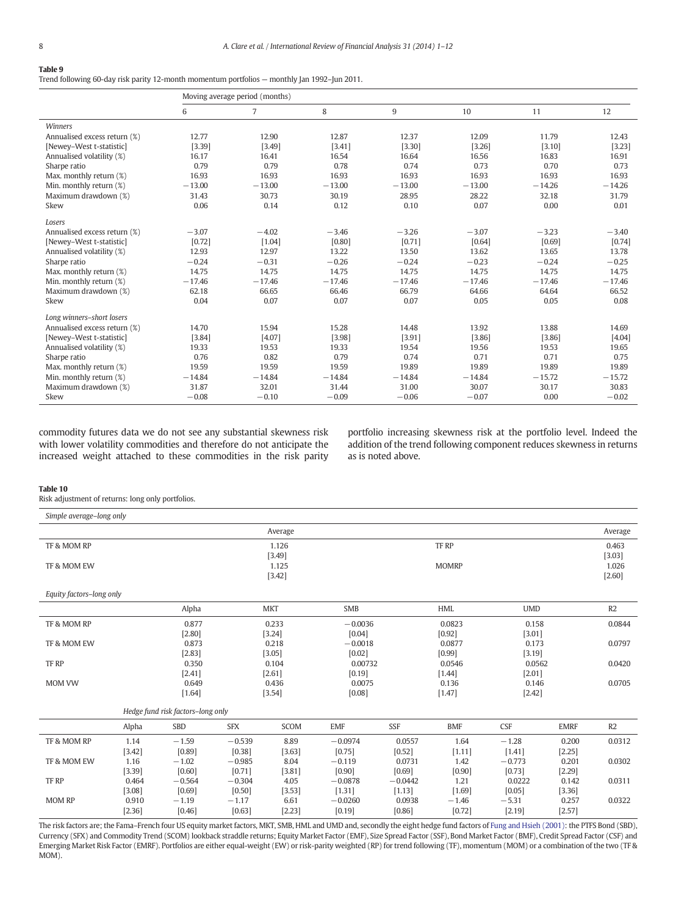<span id="page-7-0"></span>Trend following 60-day risk parity 12-month momentum portfolios — monthly Jan 1992–Jun 2011.

|                              |          | Moving average period (months) |          |          |          |          |          |
|------------------------------|----------|--------------------------------|----------|----------|----------|----------|----------|
|                              | 6        | $\overline{7}$                 | 8        | 9        | 10       | 11       | 12       |
| Winners                      |          |                                |          |          |          |          |          |
| Annualised excess return (%) | 12.77    | 12.90                          | 12.87    | 12.37    | 12.09    | 11.79    | 12.43    |
| [Newey-West t-statistic]     | [3.39]   | [3.49]                         | [3.41]   | [3.30]   | [3.26]   | [3.10]   | [3.23]   |
| Annualised volatility (%)    | 16.17    | 16.41                          | 16.54    | 16.64    | 16.56    | 16.83    | 16.91    |
| Sharpe ratio                 | 0.79     | 0.79                           | 0.78     | 0.74     | 0.73     | 0.70     | 0.73     |
| Max, monthly return (%)      | 16.93    | 16.93                          | 16.93    | 16.93    | 16.93    | 16.93    | 16.93    |
| Min. monthly return (%)      | $-13.00$ | $-13.00$                       | $-13,00$ | $-13.00$ | $-13.00$ | $-14.26$ | $-14.26$ |
| Maximum drawdown (%)         | 31.43    | 30.73                          | 30.19    | 28.95    | 28.22    | 32.18    | 31.79    |
| Skew                         | 0.06     | 0.14                           | 0.12     | 0.10     | 0.07     | 0.00     | 0.01     |
| Losers                       |          |                                |          |          |          |          |          |
| Annualised excess return (%) | $-3.07$  | $-4.02$                        | $-3.46$  | $-3.26$  | $-3.07$  | $-3.23$  | $-3.40$  |
| [Newey-West t-statistic]     | [0.72]   | [1.04]                         | [0.80]   | [0.71]   | [0.64]   | [0.69]   | [0.74]   |
| Annualised volatility (%)    | 12.93    | 12.97                          | 13.22    | 13.50    | 13.62    | 13.65    | 13.78    |
| Sharpe ratio                 | $-0.24$  | $-0.31$                        | $-0.26$  | $-0.24$  | $-0.23$  | $-0.24$  | $-0.25$  |
| Max, monthly return (%)      | 14.75    | 14.75                          | 14.75    | 14.75    | 14.75    | 14.75    | 14.75    |
| Min. monthly return (%)      | $-17.46$ | $-17.46$                       | $-17.46$ | $-17.46$ | $-17.46$ | $-17.46$ | $-17.46$ |
| Maximum drawdown (%)         | 62.18    | 66.65                          | 66.46    | 66.79    | 64.66    | 64.64    | 66.52    |
| Skew                         | 0.04     | 0.07                           | 0.07     | 0.07     | 0.05     | 0.05     | 0.08     |
| Long winners-short losers    |          |                                |          |          |          |          |          |
| Annualised excess return (%) | 14.70    | 15.94                          | 15.28    | 14.48    | 13.92    | 13.88    | 14.69    |
| [Newey-West t-statistic]     | [3.84]   | [4.07]                         | [3.98]   | [3.91]   | [3.86]   | [3.86]   | [4.04]   |
| Annualised volatility (%)    | 19.33    | 19.53                          | 19.33    | 19.54    | 19.56    | 19.53    | 19.65    |
| Sharpe ratio                 | 0.76     | 0.82                           | 0.79     | 0.74     | 0.71     | 0.71     | 0.75     |
| Max. monthly return (%)      | 19.59    | 19.59                          | 19.59    | 19.89    | 19.89    | 19.89    | 19.89    |
| Min. monthly return (%)      | $-14.84$ | $-14.84$                       | $-14.84$ | $-14.84$ | $-14.84$ | $-15.72$ | $-15.72$ |
| Maximum drawdown (%)         | 31.87    | 32.01                          | 31.44    | 31.00    | 30.07    | 30.17    | 30.83    |
| Skew                         | $-0.08$  | $-0.10$                        | $-0.09$  | $-0.06$  | $-0.07$  | 0.00     | $-0.02$  |

commodity futures data we do not see any substantial skewness risk with lower volatility commodities and therefore do not anticipate the increased weight attached to these commodities in the risk parity portfolio increasing skewness risk at the portfolio level. Indeed the addition of the trend following component reduces skewness in returns as is noted above.

#### Table 10

Risk adjustment of returns: long only portfolios.

| Simple average-long only |          |                                   |            |            |            |            |              |            |             |         |
|--------------------------|----------|-----------------------------------|------------|------------|------------|------------|--------------|------------|-------------|---------|
|                          |          |                                   |            | Average    |            |            |              |            |             | Average |
| TF & MOM RP              |          |                                   |            | 1.126      |            |            | <b>TF RP</b> |            |             | 0.463   |
|                          |          |                                   | [3.49]     |            |            |            |              |            |             |         |
| TF & MOM EW              |          |                                   |            | 1.125      |            |            | <b>MOMRP</b> |            |             | 1.026   |
|                          |          |                                   |            | [3.42]     |            |            |              |            |             | [2.60]  |
| Equity factors-long only |          |                                   |            |            |            |            |              |            |             |         |
|                          |          | Alpha                             |            | <b>MKT</b> | <b>SMB</b> |            | <b>HML</b>   | <b>UMD</b> |             | R2      |
| TF & MOM RP              |          | 0.877                             |            | 0.233      | $-0.0036$  |            | 0.0823       | 0.158      |             | 0.0844  |
|                          |          | $[2.80]$                          |            | [3.24]     | [0.04]     |            | $[0.92]$     | [3.01]     |             |         |
| TF & MOM EW              |          | 0.873                             |            | 0.218      | $-0.0018$  |            | 0.0877       | 0.173      |             | 0.0797  |
|                          |          | [2.83]                            |            | [3.05]     | [0.02]     |            | $[0.99]$     | [3.19]     |             |         |
| <b>TF RP</b>             |          | 0.350                             |            | 0.104      | 0.00732    |            | 0.0546       | 0.0562     |             | 0.0420  |
|                          |          | $[2.41]$                          |            | $[2.61]$   | [0.19]     |            | $[1.44]$     | $[2.01]$   |             |         |
| <b>MOM VW</b>            |          | 0.649                             |            | 0.436      | 0.0075     |            | 0.136        | 0.146      |             | 0.0705  |
|                          |          | $[1.64]$                          |            | [3.54]     | [0.08]     |            | [1.47]       | [2.42]     |             |         |
|                          |          | Hedge fund risk factors-long only |            |            |            |            |              |            |             |         |
|                          | Alpha    | SBD                               | <b>SFX</b> | SCOM       | <b>EMF</b> | <b>SSF</b> | <b>BMF</b>   | <b>CSF</b> | <b>EMRF</b> | R2      |
| TF & MOM RP              | 1.14     | $-1.59$                           | $-0.539$   | 8.89       | $-0.0974$  | 0.0557     | 1.64         | $-1.28$    | 0.200       | 0.0312  |
|                          | $[3.42]$ | [0.89]                            | [0.38]     | [3.63]     | [0.75]     | [0.52]     | $[1.11]$     | [1.41]     | $[2.25]$    |         |
| TF & MOM EW              | 1.16     | $-1.02$                           | $-0.985$   | 8.04       | $-0.119$   | 0.0731     | 1.42         | $-0.773$   | 0.201       | 0.0302  |
|                          | [3.39]   | $[0.60]$                          | [0.71]     | [3.81]     | [0.90]     | [0.69]     | $[0.90]$     | [0.73]     | $[2.29]$    |         |
| <b>TF RP</b>             | 0.464    | $-0.564$                          | $-0.304$   | 4.05       | $-0.0878$  | $-0.0442$  | 1.21         | 0.0222     | 0.142       | 0.0311  |
|                          | [3.08]   | [0.69]                            | [0.50]     | [3.53]     | [1.31]     | [1.13]     | $[1.69]$     | [0.05]     | [3.36]      |         |
| <b>MOM RP</b>            | 0.910    | $-1.19$                           | $-1.17$    | 6.61       | $-0.0260$  | 0.0938     | $-1.46$      | $-5.31$    | 0.257       | 0.0322  |
|                          | [2.36]   | [0.46]                            | [0.63]     | [2.23]     | [0.19]     | [0.86]     | [0.72]       | [2.19]     | $[2.57]$    |         |

The risk factors are; the Fama–French four US equity market factors, MKT, SMB, HML and UMD and, secondly the eight hedge fund factors of [Fung and Hsieh \(2001\):](#page-10-0) the PTFS Bond (SBD), Currency (SFX) and Commodity Trend (SCOM) lookback straddle returns; Equity Market Factor (EMF), Size Spread Factor (SSF), Bond Market Factor (BMF), Credit Spread Factor (CSF) and Emerging Market Risk Factor (EMRF). Portfolios are either equal-weight (EW) or risk-parity weighted (RP) for trend following (TF), momentum (MOM) or a combination of the two (TF & MOM).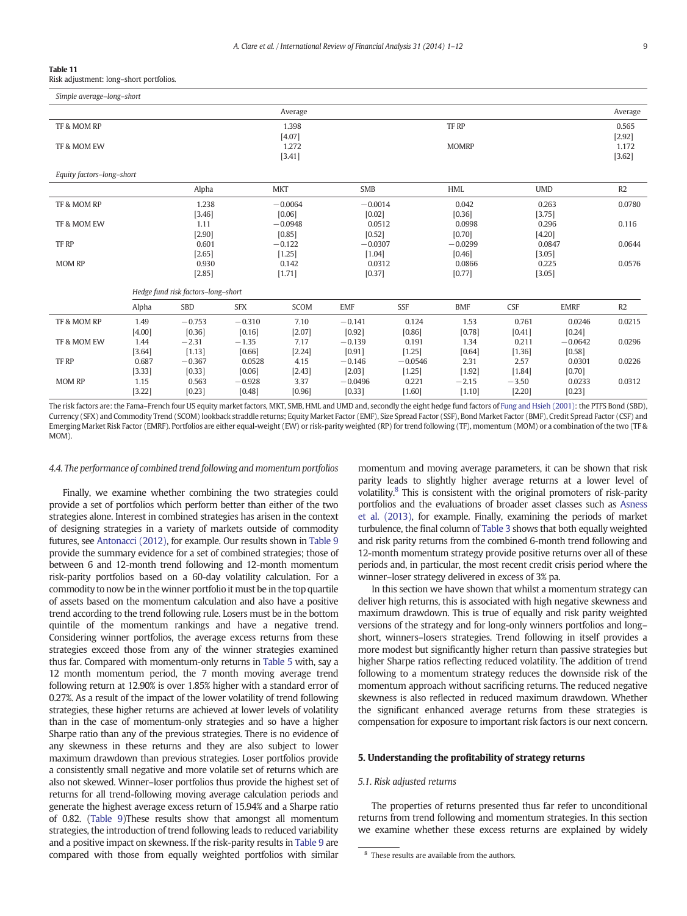<span id="page-8-0"></span>Risk adjustment: long–short portfolios.

| Simple average–long–short |                                    |          |            |             |            |              |                  |            |             |          |
|---------------------------|------------------------------------|----------|------------|-------------|------------|--------------|------------------|------------|-------------|----------|
|                           |                                    |          |            | Average     |            |              |                  |            |             | Average  |
| TF & MOM RP               |                                    | 1.398    |            |             |            | <b>TF RP</b> |                  |            |             | 0.565    |
|                           |                                    |          |            | [4.07]      |            |              |                  |            |             | $[2.92]$ |
| TF & MOM EW               |                                    |          |            | 1.272       |            |              | <b>MOMRP</b>     |            |             | 1.172    |
|                           |                                    |          |            | [3.41]      |            |              |                  |            |             | [3.62]   |
| Equity factors-long-short |                                    |          |            |             |            |              |                  |            |             |          |
|                           |                                    | Alpha    |            | <b>MKT</b>  | <b>SMB</b> |              | <b>HML</b>       | <b>UMD</b> |             | R2       |
| TF & MOM RP               |                                    | 1.238    |            | $-0.0064$   | $-0.0014$  |              | 0.042            | 0.263      |             | 0.0780   |
|                           |                                    | $[3.46]$ |            | [0.06]      |            | [0.02]       |                  | [3.75]     |             |          |
| TF & MOM EW               | 1.11                               |          | $-0.0948$  | 0.0512      |            | 0.0998       | 0.296            |            | 0.116       |          |
|                           |                                    | $[2.90]$ | [0.85]     |             |            | [0.52]       |                  | [4.20]     |             |          |
| <b>TF RP</b>              |                                    | 0.601    |            | $-0.122$    |            | $-0.0307$    |                  | 0.0847     |             | 0.0644   |
|                           |                                    | [2.65]   | $[1.25]$   |             | [1.04]     |              | [0.46]           | [3.05]     |             |          |
| <b>MOM RP</b>             |                                    | 0.930    |            | 0.142       |            | 0.0312       |                  | 0.225      |             | 0.0576   |
|                           |                                    | $[2.85]$ |            | $[1.71]$    | [0.37]     |              | [0.77]<br>[3.05] |            |             |          |
|                           | Hedge fund risk factors-long-short |          |            |             |            |              |                  |            |             |          |
|                           | Alpha                              | SBD      | <b>SFX</b> | <b>SCOM</b> | <b>EMF</b> | <b>SSF</b>   | <b>BMF</b>       | <b>CSF</b> | <b>EMRF</b> | R2       |
| TF & MOM RP               | 1.49                               | $-0.753$ | $-0.310$   | 7.10        | $-0.141$   | 0.124        | 1.53             | 0.761      | 0.0246      | 0.0215   |
|                           | [4.00]                             | [0.36]   | [0.16]     | $[2.07]$    | [0.92]     | $[0.86]$     | [0.78]           | $[0.41]$   | $[0.24]$    |          |
| TF & MOM EW               | 1.44                               | $-2.31$  | $-1.35$    | 7.17        | $-0.139$   | 0.191        | 1.34             | 0.211      | $-0.0642$   | 0.0296   |
|                           | [3.64]                             | [1.13]   | [0.66]     | $[2.24]$    | [0.91]     | [1.25]       | [0.64]           | $[1.36]$   | [0.58]      |          |
| <b>TF RP</b>              | 0.687                              | $-0.367$ | 0.0528     | 4.15        | $-0.146$   | $-0.0546$    | 2.31             | 2.57       | 0.0301      | 0.0226   |
|                           | $[3.33]$                           | [0.33]   | [0.06]     | $[2.43]$    | [2.03]     | $[1.25]$     | $[1.92]$         | [1.84]     | [0.70]      |          |
| <b>MOM RP</b>             | 1.15                               | 0.563    | $-0.928$   | 3.37        | $-0.0496$  | 0.221        | $-2.15$          | $-3.50$    | 0.0233      | 0.0312   |
|                           | [3.22]                             | [0.23]   | [0.48]     | [0.96]      | [0.33]     | [1.60]       | [1.10]           | [2.20]     | [0.23]      |          |

The risk factors are: the Fama–French four US equity market factors, MKT, SMB, HML and UMD and, secondly the eight hedge fund factors of [Fung and Hsieh \(2001\):](#page-10-0) the PTFS Bond (SBD), Currency (SFX) and Commodity Trend (SCOM) lookback straddle returns; Equity Market Factor (EMF), Size Spread Factor (SSF), Bond Market Factor (BMF), Credit Spread Factor (CSF) and Emerging Market Risk Factor (EMRF). Portfolios are either equal-weight (EW) or risk-parity weighted (RP) for trend following (TF), momentum (MOM) or a combination of the two (TF & MOM).

# 4.4. The performance of combined trend following and momentum portfolios

Finally, we examine whether combining the two strategies could provide a set of portfolios which perform better than either of the two strategies alone. Interest in combined strategies has arisen in the context of designing strategies in a variety of markets outside of commodity futures, see [Antonacci \(2012\),](#page-10-0) for example. Our results shown in [Table 9](#page-7-0) provide the summary evidence for a set of combined strategies; those of between 6 and 12-month trend following and 12-month momentum risk-parity portfolios based on a 60-day volatility calculation. For a commodity to now be in the winner portfolio it must be in the top quartile of assets based on the momentum calculation and also have a positive trend according to the trend following rule. Losers must be in the bottom quintile of the momentum rankings and have a negative trend. Considering winner portfolios, the average excess returns from these strategies exceed those from any of the winner strategies examined thus far. Compared with momentum-only returns in [Table 5](#page-4-0) with, say a 12 month momentum period, the 7 month moving average trend following return at 12.90% is over 1.85% higher with a standard error of 0.27%. As a result of the impact of the lower volatility of trend following strategies, these higher returns are achieved at lower levels of volatility than in the case of momentum-only strategies and so have a higher Sharpe ratio than any of the previous strategies. There is no evidence of any skewness in these returns and they are also subject to lower maximum drawdown than previous strategies. Loser portfolios provide a consistently small negative and more volatile set of returns which are also not skewed. Winner–loser portfolios thus provide the highest set of returns for all trend-following moving average calculation periods and generate the highest average excess return of 15.94% and a Sharpe ratio of 0.82. ([Table 9](#page-7-0))These results show that amongst all momentum strategies, the introduction of trend following leads to reduced variability and a positive impact on skewness. If the risk-parity results in [Table 9](#page-7-0) are compared with those from equally weighted portfolios with similar

momentum and moving average parameters, it can be shown that risk parity leads to slightly higher average returns at a lower level of volatility.<sup>8</sup> This is consistent with the original promoters of risk-parity portfolios and the evaluations of broader asset classes such as [Asness](#page-10-0) [et al. \(2013\),](#page-10-0) for example. Finally, examining the periods of market turbulence, the final column of [Table 3](#page-3-0) shows that both equally weighted and risk parity returns from the combined 6-month trend following and 12-month momentum strategy provide positive returns over all of these periods and, in particular, the most recent credit crisis period where the winner–loser strategy delivered in excess of 3% pa.

In this section we have shown that whilst a momentum strategy can deliver high returns, this is associated with high negative skewness and maximum drawdown. This is true of equally and risk parity weighted versions of the strategy and for long-only winners portfolios and long– short, winners–losers strategies. Trend following in itself provides a more modest but significantly higher return than passive strategies but higher Sharpe ratios reflecting reduced volatility. The addition of trend following to a momentum strategy reduces the downside risk of the momentum approach without sacrificing returns. The reduced negative skewness is also reflected in reduced maximum drawdown. Whether the significant enhanced average returns from these strategies is compensation for exposure to important risk factors is our next concern.

# 5. Understanding the profitability of strategy returns

# 5.1. Risk adjusted returns

The properties of returns presented thus far refer to unconditional returns from trend following and momentum strategies. In this section we examine whether these excess returns are explained by widely

<sup>&</sup>lt;sup>8</sup> These results are available from the authors.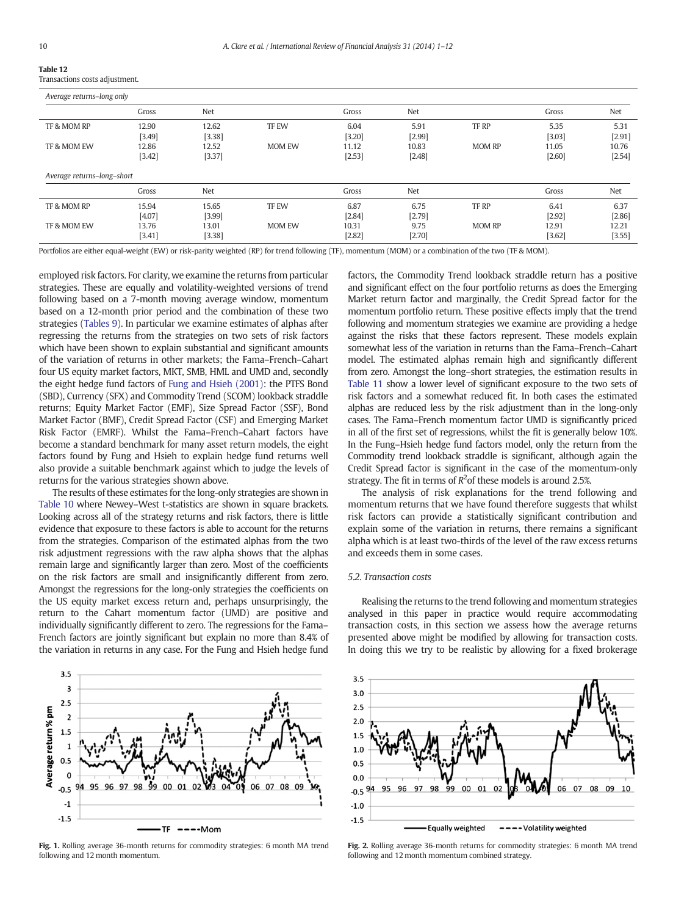<span id="page-9-0"></span>

| I<br>$\sim$ |
|-------------|

| Table 12                       |  |
|--------------------------------|--|
| Transactions costs adjustment. |  |

| Average returns-long only  |                 |                 |               |                 |                 |               |                 |                  |
|----------------------------|-----------------|-----------------|---------------|-----------------|-----------------|---------------|-----------------|------------------|
|                            | Gross           | Net             |               | Gross           | Net             |               | Gross           | Net              |
| TF & MOM RP                | 12.90<br>[3.49] | 12.62<br>[3.38] | TF EW         | 6.04<br>[3.20]  | 5.91<br>[2.99]  | TF RP         | 5.35<br>[3.03]  | 5.31<br>$[2.91]$ |
| TF & MOM EW                | 12.86<br>[3.42] | 12.52<br>[3.37] | <b>MOM EW</b> | 11.12<br>[2.53] | 10.83<br>[2.48] | <b>MOM RP</b> | 11.05<br>[2.60] | 10.76<br>[2.54]  |
| Average returns-long-short |                 |                 |               |                 |                 |               |                 |                  |
|                            | Gross           | Net             |               | Gross           | Net             |               | Gross           | Net              |
| TF & MOM RP                | 15.94<br>[4.07] | 15.65<br>[3.99] | <b>TF EW</b>  | 6.87<br>[2.84]  | 6.75<br>[2.79]  | TF RP         | 6.41<br>[2.92]  | 6.37<br>[2.86]   |
| TF & MOM EW                | 13.76<br>[3.41] | 13.01<br>[3.38] | <b>MOM EW</b> | 10.31<br>[2.82] | 9.75<br>[2.70]  | <b>MOM RP</b> | 12.91<br>[3.62] | 12.21<br>[3.55]  |

Portfolios are either equal-weight (EW) or risk-parity weighted (RP) for trend following (TF), momentum (MOM) or a combination of the two (TF & MOM).

employed risk factors. For clarity, we examine the returns from particular strategies. These are equally and volatility-weighted versions of trend following based on a 7-month moving average window, momentum based on a 12-month prior period and the combination of these two strategies ([Tables 9\)](#page-7-0). In particular we examine estimates of alphas after regressing the returns from the strategies on two sets of risk factors which have been shown to explain substantial and significant amounts of the variation of returns in other markets; the Fama–French–Cahart four US equity market factors, MKT, SMB, HML and UMD and, secondly the eight hedge fund factors of [Fung and Hsieh \(2001\)](#page-10-0): the PTFS Bond (SBD), Currency (SFX) and Commodity Trend (SCOM) lookback straddle returns; Equity Market Factor (EMF), Size Spread Factor (SSF), Bond Market Factor (BMF), Credit Spread Factor (CSF) and Emerging Market Risk Factor (EMRF). Whilst the Fama–French–Cahart factors have become a standard benchmark for many asset return models, the eight factors found by Fung and Hsieh to explain hedge fund returns well also provide a suitable benchmark against which to judge the levels of returns for the various strategies shown above.

The results of these estimates for the long-only strategies are shown in [Table 10](#page-7-0) where Newey–West t-statistics are shown in square brackets. Looking across all of the strategy returns and risk factors, there is little evidence that exposure to these factors is able to account for the returns from the strategies. Comparison of the estimated alphas from the two risk adjustment regressions with the raw alpha shows that the alphas remain large and significantly larger than zero. Most of the coefficients on the risk factors are small and insignificantly different from zero. Amongst the regressions for the long-only strategies the coefficients on the US equity market excess return and, perhaps unsurprisingly, the return to the Cahart momentum factor (UMD) are positive and individually significantly different to zero. The regressions for the Fama– French factors are jointly significant but explain no more than 8.4% of the variation in returns in any case. For the Fung and Hsieh hedge fund



Fig. 1. Rolling average 36-month returns for commodity strategies: 6 month MA trend following and 12 month momentum.

factors, the Commodity Trend lookback straddle return has a positive and significant effect on the four portfolio returns as does the Emerging Market return factor and marginally, the Credit Spread factor for the momentum portfolio return. These positive effects imply that the trend following and momentum strategies we examine are providing a hedge against the risks that these factors represent. These models explain somewhat less of the variation in returns than the Fama–French–Cahart model. The estimated alphas remain high and significantly different from zero. Amongst the long–short strategies, the estimation results in [Table 11](#page-8-0) show a lower level of significant exposure to the two sets of risk factors and a somewhat reduced fit. In both cases the estimated alphas are reduced less by the risk adjustment than in the long-only cases. The Fama–French momentum factor UMD is significantly priced in all of the first set of regressions, whilst the fit is generally below 10%. In the Fung–Hsieh hedge fund factors model, only the return from the Commodity trend lookback straddle is significant, although again the Credit Spread factor is significant in the case of the momentum-only strategy. The fit in terms of  $R^2$  of these models is around 2.5%.

The analysis of risk explanations for the trend following and momentum returns that we have found therefore suggests that whilst risk factors can provide a statistically significant contribution and explain some of the variation in returns, there remains a significant alpha which is at least two-thirds of the level of the raw excess returns and exceeds them in some cases.

# 5.2. Transaction costs

Realising the returns to the trend following and momentum strategies analysed in this paper in practice would require accommodating transaction costs, in this section we assess how the average returns presented above might be modified by allowing for transaction costs. In doing this we try to be realistic by allowing for a fixed brokerage



Fig. 2. Rolling average 36-month returns for commodity strategies: 6 month MA trend following and 12 month momentum combined strategy.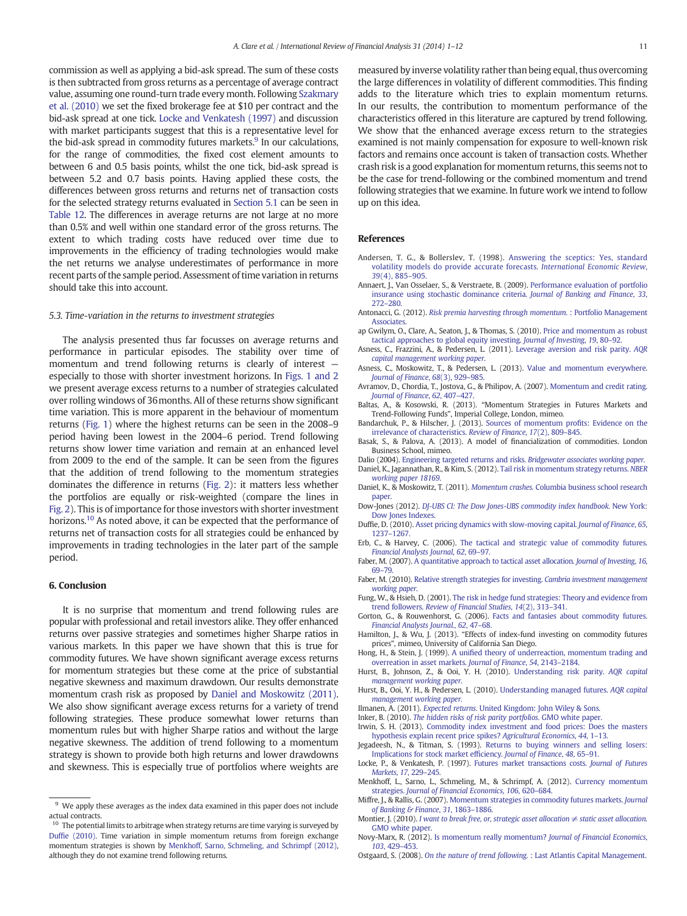<span id="page-10-0"></span>commission as well as applying a bid-ask spread. The sum of these costs is then subtracted from gross returns as a percentage of average contract value, assuming one round-turn trade every month. Following [Szakmary](#page-11-0) [et al. \(2010\)](#page-11-0) we set the fixed brokerage fee at \$10 per contract and the bid-ask spread at one tick. Locke and Venkatesh (1997) and discussion with market participants suggest that this is a representative level for the bid-ask spread in commodity futures markets. $9$  In our calculations, for the range of commodities, the fixed cost element amounts to between 6 and 0.5 basis points, whilst the one tick, bid-ask spread is between 5.2 and 0.7 basis points. Having applied these costs, the differences between gross returns and returns net of transaction costs for the selected strategy returns evaluated in [Section 5.1](#page-8-0) can be seen in [Table 12](#page-9-0). The differences in average returns are not large at no more than 0.5% and well within one standard error of the gross returns. The extent to which trading costs have reduced over time due to improvements in the efficiency of trading technologies would make the net returns we analyse underestimates of performance in more recent parts of the sample period. Assessment of time variation in returns should take this into account.

# 5.3. Time-variation in the returns to investment strategies

The analysis presented thus far focusses on average returns and performance in particular episodes. The stability over time of momentum and trend following returns is clearly of interest especially to those with shorter investment horizons. In [Figs. 1 and 2](#page-9-0) we present average excess returns to a number of strategies calculated over rolling windows of 36months. All of these returns show significant time variation. This is more apparent in the behaviour of momentum returns ([Fig. 1\)](#page-9-0) where the highest returns can be seen in the 2008–9 period having been lowest in the 2004–6 period. Trend following returns show lower time variation and remain at an enhanced level from 2009 to the end of the sample. It can be seen from the figures that the addition of trend following to the momentum strategies dominates the difference in returns [\(Fig. 2\)](#page-9-0): it matters less whether the portfolios are equally or risk-weighted (compare the lines in [Fig. 2\)](#page-9-0). This is of importance for those investors with shorter investment horizons.<sup>10</sup> As noted above, it can be expected that the performance of returns net of transaction costs for all strategies could be enhanced by improvements in trading technologies in the later part of the sample period.

# 6. Conclusion

It is no surprise that momentum and trend following rules are popular with professional and retail investors alike. They offer enhanced returns over passive strategies and sometimes higher Sharpe ratios in various markets. In this paper we have shown that this is true for commodity futures. We have shown significant average excess returns for momentum strategies but these come at the price of substantial negative skewness and maximum drawdown. Our results demonstrate momentum crash risk as proposed by Daniel and Moskowitz (2011). We also show significant average excess returns for a variety of trend following strategies. These produce somewhat lower returns than momentum rules but with higher Sharpe ratios and without the large negative skewness. The addition of trend following to a momentum strategy is shown to provide both high returns and lower drawdowns and skewness. This is especially true of portfolios where weights are measured by inverse volatility rather than being equal, thus overcoming the large differences in volatility of different commodities. This finding adds to the literature which tries to explain momentum returns. In our results, the contribution to momentum performance of the characteristics offered in this literature are captured by trend following. We show that the enhanced average excess return to the strategies examined is not mainly compensation for exposure to well-known risk factors and remains once account is taken of transaction costs. Whether crash risk is a good explanation for momentum returns, this seems not to be the case for trend-following or the combined momentum and trend following strategies that we examine. In future work we intend to follow up on this idea.

# References

- Andersen, T. G., & Bollerslev, T. (1998). [Answering the sceptics: Yes, standard](http://refhub.elsevier.com/S1057-5219(13)00137-3/rf0005) [volatility models do provide accurate forecasts.](http://refhub.elsevier.com/S1057-5219(13)00137-3/rf0005) International Economic Review, 39[\(4\), 885](http://refhub.elsevier.com/S1057-5219(13)00137-3/rf0005)–905.
- Annaert, J., Van Osselaer, S., & Verstraete, B. (2009). [Performance evaluation of portfolio](http://refhub.elsevier.com/S1057-5219(13)00137-3/rf0010) [insurance using stochastic dominance criteria.](http://refhub.elsevier.com/S1057-5219(13)00137-3/rf0010) Journal of Banking and Finance, 33, 272–[280.](http://refhub.elsevier.com/S1057-5219(13)00137-3/rf0010)
- Antonacci, G. (2012). [Risk premia harvesting through momentum.](http://refhub.elsevier.com/S1057-5219(13)00137-3/rf0015) : Portfolio Management **Associates**
- ap Gwilym, O., Clare, A., Seaton, J., & Thomas, S. (2010). [Price and momentum as robust](http://refhub.elsevier.com/S1057-5219(13)00137-3/rf0165) [tactical approaches to global equity investing.](http://refhub.elsevier.com/S1057-5219(13)00137-3/rf0165) Journal of Investing, 19, 80–92.

Asness, C., Frazzini, A., & Pedersen, L. (2011). [Leverage aversion and risk parity.](http://refhub.elsevier.com/S1057-5219(13)00137-3/rf0170) AQR [capital management working paper](http://refhub.elsevier.com/S1057-5219(13)00137-3/rf0170).

- Asness, C., Moskowitz, T., & Pedersen, L. (2013). [Value and momentum everywhere.](http://refhub.elsevier.com/S1057-5219(13)00137-3/rf0030) [Journal of Finance](http://refhub.elsevier.com/S1057-5219(13)00137-3/rf0030), 68(3), 929–985.
- Avramov, D., Chordia, T., Jostova, G., & Philipov, A. (2007). [Momentum and credit rating.](http://refhub.elsevier.com/S1057-5219(13)00137-3/rf0035) [Journal of Finance](http://refhub.elsevier.com/S1057-5219(13)00137-3/rf0035), 62, 407–427.
- Baltas, A., & Kosowski, R. (2013). "Momentum Strategies in Futures Markets and Trend-Following Funds", Imperial College, London, mimeo.

Bandarchuk, P., & Hilscher, J. (2013). [Sources of momentum pro](http://refhub.elsevier.com/S1057-5219(13)00137-3/rf0175)fits: Evidence on the [irrelevance of characteristics.](http://refhub.elsevier.com/S1057-5219(13)00137-3/rf0175) Review of Finance, 17(2), 809–845.

Basak, S., & Palova, A. (2013). A model of financialization of commodities. London Business School, mimeo.

Dalio (2004). [Engineering targeted returns and risks.](http://refhub.elsevier.com/S1057-5219(13)00137-3/rf0180) Bridgewater associates working paper. Daniel, K., Jagannathan, R., & Kim, S. (2012). [Tail risk in momentum strategy returns.](http://refhub.elsevier.com/S1057-5219(13)00137-3/rf0185) NBER

- [working paper 18169](http://refhub.elsevier.com/S1057-5219(13)00137-3/rf0185). Daniel, K., & Moskowitz, T. (2011). Momentum crashes. [Columbia business school research](http://refhub.elsevier.com/S1057-5219(13)00137-3/rf0190) [paper.](http://refhub.elsevier.com/S1057-5219(13)00137-3/rf0190)
- Dow-Jones (2012). [DJ-UBS CI: The Dow Jones-UBS commodity index handbook.](http://refhub.elsevier.com/S1057-5219(13)00137-3/rf0045) New York: Dow Jones Indexes
- Duffie, D. (2010). [Asset pricing dynamics with slow-moving capital.](http://refhub.elsevier.com/S1057-5219(13)00137-3/rf0050) Journal of Finance, 65, 1237–[1267.](http://refhub.elsevier.com/S1057-5219(13)00137-3/rf0050)
- Erb, C., & Harvey, C. (2006). [The tactical and strategic value of commodity futures.](http://refhub.elsevier.com/S1057-5219(13)00137-3/rf0055) [Financial Analysts Journal](http://refhub.elsevier.com/S1057-5219(13)00137-3/rf0055), 62, 69–97.
- Faber, M. (2007). [A quantitative approach to tactical asset allocation.](http://refhub.elsevier.com/S1057-5219(13)00137-3/rf0060) Journal of Investing, 16, 69–[79.](http://refhub.elsevier.com/S1057-5219(13)00137-3/rf0060)
- Faber, M. (2010). [Relative strength strategies for investing.](http://refhub.elsevier.com/S1057-5219(13)00137-3/rf0195) Cambria investment management [working paper](http://refhub.elsevier.com/S1057-5219(13)00137-3/rf0195).
- Fung, W., & Hsieh, D. (2001). [The risk in hedge fund strategies: Theory and evidence from](http://refhub.elsevier.com/S1057-5219(13)00137-3/rf0070) trend followers. [Review of Financial Studies](http://refhub.elsevier.com/S1057-5219(13)00137-3/rf0070), 14(2), 313–341.

Gorton, G., & Rouwenhorst, G. (2006). [Facts and fantasies about commodity futures.](http://refhub.elsevier.com/S1057-5219(13)00137-3/rf9010) [Financial Analysts Journal.](http://refhub.elsevier.com/S1057-5219(13)00137-3/rf9010), 62, 47–68.

Hamilton, J., & Wu, J. (2013). "Effects of index-fund investing on commodity futures prices", mimeo, University of California San Diego.

Hong, H., & Stein, J. (1999). A unifi[ed theory of underreaction, momentum trading and](http://refhub.elsevier.com/S1057-5219(13)00137-3/rf0080) [overreation in asset markets.](http://refhub.elsevier.com/S1057-5219(13)00137-3/rf0080) Journal of Finance, 54, 2143–2184.

- Hurst, B., Johnson, Z., & Ooi, Y. H. (2010). [Understanding risk parity.](http://refhub.elsevier.com/S1057-5219(13)00137-3/rf0200) AQR capital [management working paper](http://refhub.elsevier.com/S1057-5219(13)00137-3/rf0200).
- Hurst, B., Ooi, Y. H., & Pedersen, L. (2010). [Understanding managed futures.](http://refhub.elsevier.com/S1057-5219(13)00137-3/rf0205) AQR capital [management working paper](http://refhub.elsevier.com/S1057-5219(13)00137-3/rf0205).
- Ilmanen, A. (2011). Expected returns. [United Kingdom: John Wiley & Sons.](http://refhub.elsevier.com/S1057-5219(13)00137-3/rf0095)
- Inker, B. (2010). [The hidden risks of risk parity portfolios.](http://refhub.elsevier.com/S1057-5219(13)00137-3/rf0210) GMO white paper.
- Irwin, S. H. (2013). [Commodity index investment and food prices: Does the masters](http://refhub.elsevier.com/S1057-5219(13)00137-3/rf9030) [hypothesis explain recent price spikes?](http://refhub.elsevier.com/S1057-5219(13)00137-3/rf9030) Agricultural Economics, 44, 1-13.
- Jegadeesh, N., & Titman, S. (1993). [Returns to buying winners and selling losers:](http://refhub.elsevier.com/S1057-5219(13)00137-3/rf0105) [Implications for stock market ef](http://refhub.elsevier.com/S1057-5219(13)00137-3/rf0105)ficiency. Journal of Finance, 48, 65–91.
- Locke, P., & Venkatesh, P. (1997). [Futures market transactions costs.](http://refhub.elsevier.com/S1057-5219(13)00137-3/rf0115) Journal of Futures [Markets](http://refhub.elsevier.com/S1057-5219(13)00137-3/rf0115), 17, 229–245.
- Menkhoff, L., Sarno, L., Schmeling, M., & Schrimpf, A. (2012). [Currency momentum](http://refhub.elsevier.com/S1057-5219(13)00137-3/rf0220) strategies. [Journal of Financial Economics](http://refhub.elsevier.com/S1057-5219(13)00137-3/rf0220), 106, 620–684.
- Miffre, J., & Rallis, G. (2007). [Momentum strategies in commodity futures markets.](http://refhub.elsevier.com/S1057-5219(13)00137-3/rf0125) Journal [of Banking & Finance](http://refhub.elsevier.com/S1057-5219(13)00137-3/rf0125), 31, 1863–1886.
- Montier, J. (2010). [I want to break free, or, strategic asset allocation](http://refhub.elsevier.com/S1057-5219(13)00137-3/rf0225) [≠](http://refhub.elsevier.com/S1057-5219(13)00137-3/rf0225) [static asset allocation.](http://refhub.elsevier.com/S1057-5219(13)00137-3/rf0225) [GMO white paper.](http://refhub.elsevier.com/S1057-5219(13)00137-3/rf0225)
- Novy-Marx, R. (2012). [Is momentum really momentum?](http://refhub.elsevier.com/S1057-5219(13)00137-3/rf0130) Journal of Financial Economics, 103[, 429](http://refhub.elsevier.com/S1057-5219(13)00137-3/rf0130)–453.
- Ostgaard, S. (2008). On the nature of trend following. [: Last Atlantis Capital Management.](http://refhub.elsevier.com/S1057-5219(13)00137-3/rf0135)

 $^9\,$  We apply these averages as the index data examined in this paper does not include actual contracts.

 $10$  The potential limits to arbitrage when strategy returns are time varying is surveyed by Duffie (2010). Time variation in simple momentum returns from foreign exchange momentum strategies is shown by Menkhoff, Sarno, Schmeling, and Schrimpf (2012), although they do not examine trend following returns.